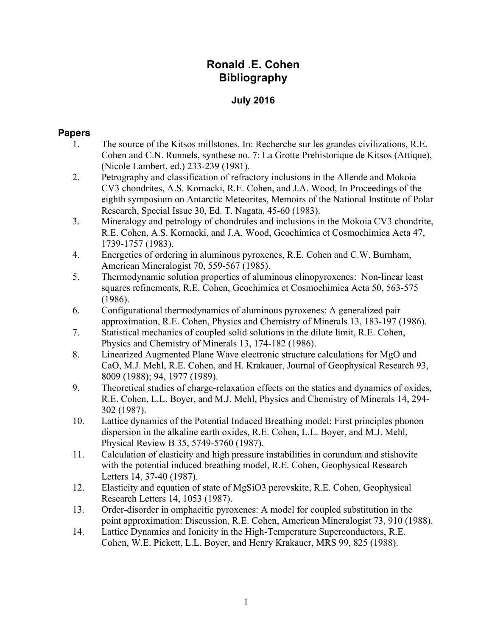# **Ronald .E. Cohen Bibliography**

### **July 2016**

#### **Papers**

- 1. The source of the Kitsos millstones. In: Recherche sur les grandes civilizations, R.E. Cohen and C.N. Runnels, synthese no. 7: La Grotte Prehistorique de Kitsos (Attique), (Nicole Lambert, ed.) 233-239 (1981).
- 2. Petrography and classification of refractory inclusions in the Allende and Mokoia CV3 chondrites, A.S. Kornacki, R.E. Cohen, and J.A. Wood, In Proceedings of the eighth symposium on Antarctic Meteorites, Memoirs of the National Institute of Polar Research, Special Issue 30, Ed. T. Nagata, 45-60 (1983).
- 3. Mineralogy and petrology of chondrules and inclusions in the Mokoia CV3 chondrite, R.E. Cohen, A.S. Kornacki, and J.A. Wood, Geochimica et Cosmochimica Acta 47, 1739-1757 (1983).
- 4. Energetics of ordering in aluminous pyroxenes, R.E. Cohen and C.W. Burnham, American Mineralogist 70, 559-567 (1985).
- 5. Thermodynamic solution properties of aluminous clinopyroxenes: Non-linear least squares refinements, R.E. Cohen, Geochimica et Cosmochimica Acta 50, 563-575 (1986).
- 6. Configurational thermodynamics of aluminous pyroxenes: A generalized pair approximation, R.E. Cohen, Physics and Chemistry of Minerals 13, 183-197 (1986).
- 7. Statistical mechanics of coupled solid solutions in the dilute limit, R.E. Cohen, Physics and Chemistry of Minerals 13, 174-182 (1986).
- 8. Linearized Augmented Plane Wave electronic structure calculations for MgO and CaO, M.J. Mehl, R.E. Cohen, and H. Krakauer, Journal of Geophysical Research 93, 8009 (1988); 94, 1977 (1989).
- 9. Theoretical studies of charge-relaxation effects on the statics and dynamics of oxides, R.E. Cohen, L.L. Boyer, and M.J. Mehl, Physics and Chemistry of Minerals 14, 294- 302 (1987).
- 10. Lattice dynamics of the Potential Induced Breathing model: First principles phonon dispersion in the alkaline earth oxides, R.E. Cohen, L.L. Boyer, and M.J. Mehl, Physical Review B 35, 5749-5760 (1987).
- 11. Calculation of elasticity and high pressure instabilities in corundum and stishovite with the potential induced breathing model, R.E. Cohen, Geophysical Research Letters 14, 37-40 (1987).
- 12. Elasticity and equation of state of MgSiO3 perovskite, R.E. Cohen, Geophysical Research Letters 14, 1053 (1987).
- 13. Order-disorder in omphacitic pyroxenes: A model for coupled substitution in the point approximation: Discussion, R.E. Cohen, American Mineralogist 73, 910 (1988).
- 14. Lattice Dynamics and Ionicity in the High-Temperature Superconductors, R.E. Cohen, W.E. Pickett, L.L. Boyer, and Henry Krakauer, MRS 99, 825 (1988).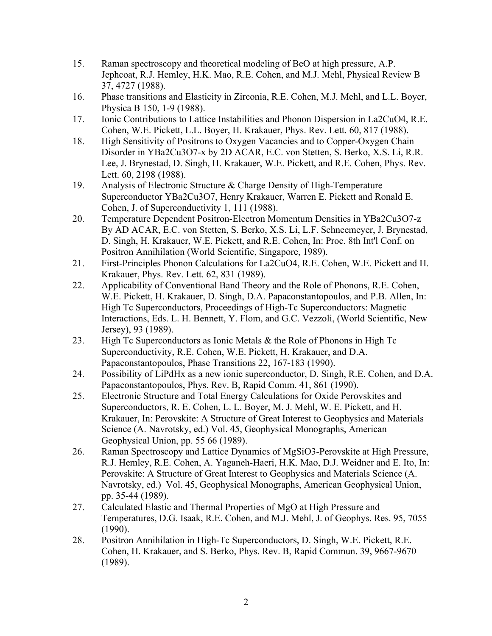- 15. Raman spectroscopy and theoretical modeling of BeO at high pressure, A.P. Jephcoat, R.J. Hemley, H.K. Mao, R.E. Cohen, and M.J. Mehl, Physical Review B 37, 4727 (1988).
- 16. Phase transitions and Elasticity in Zirconia, R.E. Cohen, M.J. Mehl, and L.L. Boyer, Physica B 150, 1-9 (1988).
- 17. Ionic Contributions to Lattice Instabilities and Phonon Dispersion in La2CuO4, R.E. Cohen, W.E. Pickett, L.L. Boyer, H. Krakauer, Phys. Rev. Lett. 60, 817 (1988).
- 18. High Sensitivity of Positrons to Oxygen Vacancies and to Copper-Oxygen Chain Disorder in YBa2Cu3O7-x by 2D ACAR, E.C. von Stetten, S. Berko, X.S. Li, R.R. Lee, J. Brynestad, D. Singh, H. Krakauer, W.E. Pickett, and R.E. Cohen, Phys. Rev. Lett. 60, 2198 (1988).
- 19. Analysis of Electronic Structure & Charge Density of High-Temperature Superconductor YBa2Cu3O7, Henry Krakauer, Warren E. Pickett and Ronald E. Cohen, J. of Superconductivity 1, 111 (1988).
- 20. Temperature Dependent Positron-Electron Momentum Densities in YBa2Cu3O7-z By AD ACAR, E.C. von Stetten, S. Berko, X.S. Li, L.F. Schneemeyer, J. Brynestad, D. Singh, H. Krakauer, W.E. Pickett, and R.E. Cohen, In: Proc. 8th Int'l Conf. on Positron Annihilation (World Scientific, Singapore, 1989).
- 21. First-Principles Phonon Calculations for La2CuO4, R.E. Cohen, W.E. Pickett and H. Krakauer, Phys. Rev. Lett. 62, 831 (1989).
- 22. Applicability of Conventional Band Theory and the Role of Phonons, R.E. Cohen, W.E. Pickett, H. Krakauer, D. Singh, D.A. Papaconstantopoulos, and P.B. Allen, In: High Tc Superconductors, Proceedings of High-Tc Superconductors: Magnetic Interactions, Eds. L. H. Bennett, Y. Flom, and G.C. Vezzoli, (World Scientific, New Jersey), 93 (1989).
- 23. High Tc Superconductors as Ionic Metals & the Role of Phonons in High Tc Superconductivity, R.E. Cohen, W.E. Pickett, H. Krakauer, and D.A. Papaconstantopoulos, Phase Transitions 22, 167-183 (1990).
- 24. Possibility of LiPdHx as a new ionic superconductor, D. Singh, R.E. Cohen, and D.A. Papaconstantopoulos, Phys. Rev. B, Rapid Comm. 41, 861 (1990).
- 25. Electronic Structure and Total Energy Calculations for Oxide Perovskites and Superconductors, R. E. Cohen, L. L. Boyer, M. J. Mehl, W. E. Pickett, and H. Krakauer, In: Perovskite: A Structure of Great Interest to Geophysics and Materials Science (A. Navrotsky, ed.) Vol. 45, Geophysical Monographs, American Geophysical Union, pp. 55 66 (1989).
- 26. Raman Spectroscopy and Lattice Dynamics of MgSiO3-Perovskite at High Pressure, R.J. Hemley, R.E. Cohen, A. Yaganeh-Haeri, H.K. Mao, D.J. Weidner and E. Ito, In: Perovskite: A Structure of Great Interest to Geophysics and Materials Science (A. Navrotsky, ed.) Vol. 45, Geophysical Monographs, American Geophysical Union, pp. 35-44 (1989).
- 27. Calculated Elastic and Thermal Properties of MgO at High Pressure and Temperatures, D.G. Isaak, R.E. Cohen, and M.J. Mehl, J. of Geophys. Res. 95, 7055 (1990).
- 28. Positron Annihilation in High-Tc Superconductors, D. Singh, W.E. Pickett, R.E. Cohen, H. Krakauer, and S. Berko, Phys. Rev. B, Rapid Commun. 39, 9667-9670 (1989).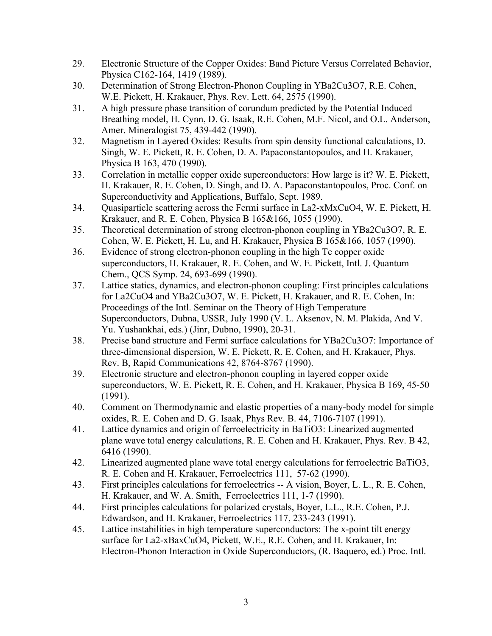- 29. Electronic Structure of the Copper Oxides: Band Picture Versus Correlated Behavior, Physica C162-164, 1419 (1989).
- 30. Determination of Strong Electron-Phonon Coupling in YBa2Cu3O7, R.E. Cohen, W.E. Pickett, H. Krakauer, Phys. Rev. Lett. 64, 2575 (1990).
- 31. A high pressure phase transition of corundum predicted by the Potential Induced Breathing model, H. Cynn, D. G. Isaak, R.E. Cohen, M.F. Nicol, and O.L. Anderson, Amer. Mineralogist 75, 439-442 (1990).
- 32. Magnetism in Layered Oxides: Results from spin density functional calculations, D. Singh, W. E. Pickett, R. E. Cohen, D. A. Papaconstantopoulos, and H. Krakauer, Physica B 163, 470 (1990).
- 33. Correlation in metallic copper oxide superconductors: How large is it? W. E. Pickett, H. Krakauer, R. E. Cohen, D. Singh, and D. A. Papaconstantopoulos, Proc. Conf. on Superconductivity and Applications, Buffalo, Sept. 1989.
- 34. Quasiparticle scattering across the Fermi surface in La2-xMxCuO4, W. E. Pickett, H. Krakauer, and R. E. Cohen, Physica B 165&166, 1055 (1990).
- 35. Theoretical determination of strong electron-phonon coupling in YBa2Cu3O7, R. E. Cohen, W. E. Pickett, H. Lu, and H. Krakauer, Physica B 165&166, 1057 (1990).
- 36. Evidence of strong electron-phonon coupling in the high Tc copper oxide superconductors, H. Krakauer, R. E. Cohen, and W. E. Pickett, Intl. J. Quantum Chem., QCS Symp. 24, 693-699 (1990).
- 37. Lattice statics, dynamics, and electron-phonon coupling: First principles calculations for La2CuO4 and YBa2Cu3O7, W. E. Pickett, H. Krakauer, and R. E. Cohen, In: Proceedings of the Intl. Seminar on the Theory of High Temperature Superconductors, Dubna, USSR, July 1990 (V. L. Aksenov, N. M. Plakida, And V. Yu. Yushankhai, eds.) (Jinr, Dubno, 1990), 20-31.
- 38. Precise band structure and Fermi surface calculations for YBa2Cu3O7: Importance of three-dimensional dispersion, W. E. Pickett, R. E. Cohen, and H. Krakauer, Phys. Rev. B, Rapid Communications 42, 8764-8767 (1990).
- 39. Electronic structure and electron-phonon coupling in layered copper oxide superconductors, W. E. Pickett, R. E. Cohen, and H. Krakauer, Physica B 169, 45-50 (1991).
- 40. Comment on Thermodynamic and elastic properties of a many-body model for simple oxides, R. E. Cohen and D. G. Isaak, Phys Rev. B. 44, 7106-7107 (1991).
- 41. Lattice dynamics and origin of ferroelectricity in BaTiO3: Linearized augmented plane wave total energy calculations, R. E. Cohen and H. Krakauer, Phys. Rev. B 42, 6416 (1990).
- 42. Linearized augmented plane wave total energy calculations for ferroelectric BaTiO3, R. E. Cohen and H. Krakauer, Ferroelectrics 111, 57-62 (1990).
- 43. First principles calculations for ferroelectrics -- A vision, Boyer, L. L., R. E. Cohen, H. Krakauer, and W. A. Smith, Ferroelectrics 111, 1-7 (1990).
- 44. First principles calculations for polarized crystals, Boyer, L.L., R.E. Cohen, P.J. Edwardson, and H. Krakauer, Ferroelectrics 117, 233-243 (1991).
- 45. Lattice instabilities in high temperature superconductors: The x-point tilt energy surface for La2-xBaxCuO4, Pickett, W.E., R.E. Cohen, and H. Krakauer, In: Electron-Phonon Interaction in Oxide Superconductors, (R. Baquero, ed.) Proc. Intl.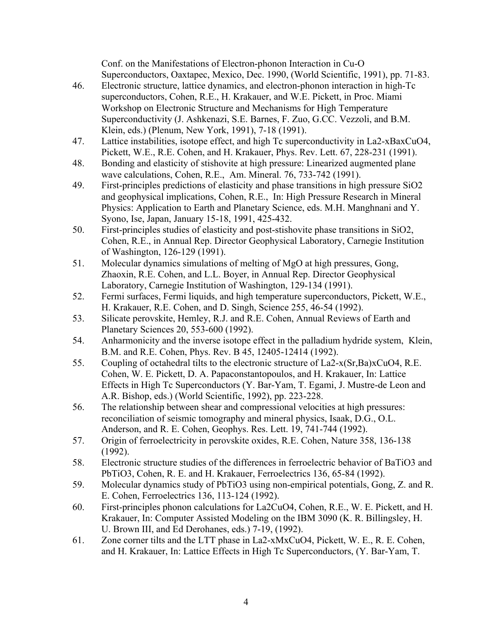Conf. on the Manifestations of Electron-phonon Interaction in Cu-O Superconductors, Oaxtapec, Mexico, Dec. 1990, (World Scientific, 1991), pp. 71-83.

- 46. Electronic structure, lattice dynamics, and electron-phonon interaction in high-Tc superconductors, Cohen, R.E., H. Krakauer, and W.E. Pickett, in Proc. Miami Workshop on Electronic Structure and Mechanisms for High Temperature Superconductivity (J. Ashkenazi, S.E. Barnes, F. Zuo, G.CC. Vezzoli, and B.M. Klein, eds.) (Plenum, New York, 1991), 7-18 (1991).
- 47. Lattice instabilities, isotope effect, and high Tc superconductivity in La2-xBaxCuO4, Pickett, W.E., R.E. Cohen, and H. Krakauer, Phys. Rev. Lett. 67, 228-231 (1991).
- 48. Bonding and elasticity of stishovite at high pressure: Linearized augmented plane wave calculations, Cohen, R.E., Am. Mineral. 76, 733-742 (1991).
- 49. First-principles predictions of elasticity and phase transitions in high pressure SiO2 and geophysical implications, Cohen, R.E., In: High Pressure Research in Mineral Physics: Application to Earth and Planetary Science, eds. M.H. Manghnani and Y. Syono, Ise, Japan, January 15-18, 1991, 425-432.
- 50. First-principles studies of elasticity and post-stishovite phase transitions in SiO2, Cohen, R.E., in Annual Rep. Director Geophysical Laboratory, Carnegie Institution of Washington, 126-129 (1991).
- 51. Molecular dynamics simulations of melting of MgO at high pressures, Gong, Zhaoxin, R.E. Cohen, and L.L. Boyer, in Annual Rep. Director Geophysical Laboratory, Carnegie Institution of Washington, 129-134 (1991).
- 52. Fermi surfaces, Fermi liquids, and high temperature superconductors, Pickett, W.E., H. Krakauer, R.E. Cohen, and D. Singh, Science 255, 46-54 (1992).
- 53. Silicate perovskite, Hemley, R.J. and R.E. Cohen, Annual Reviews of Earth and Planetary Sciences 20, 553-600 (1992).
- 54. Anharmonicity and the inverse isotope effect in the palladium hydride system, Klein, B.M. and R.E. Cohen, Phys. Rev. B 45, 12405-12414 (1992).
- 55. Coupling of octahedral tilts to the electronic structure of La2-x(Sr,Ba)xCuO4, R.E. Cohen, W. E. Pickett, D. A. Papaconstantopoulos, and H. Krakauer, In: Lattice Effects in High Tc Superconductors (Y. Bar-Yam, T. Egami, J. Mustre-de Leon and A.R. Bishop, eds.) (World Scientific, 1992), pp. 223-228.
- 56. The relationship between shear and compressional velocities at high pressures: reconciliation of seismic tomography and mineral physics, Isaak, D.G., O.L. Anderson, and R. E. Cohen, Geophys. Res. Lett. 19, 741-744 (1992).
- 57. Origin of ferroelectricity in perovskite oxides, R.E. Cohen, Nature 358, 136-138 (1992).
- 58. Electronic structure studies of the differences in ferroelectric behavior of BaTiO3 and PbTiO3, Cohen, R. E. and H. Krakauer, Ferroelectrics 136, 65-84 (1992).
- 59. Molecular dynamics study of PbTiO3 using non-empirical potentials, Gong, Z. and R. E. Cohen, Ferroelectrics 136, 113-124 (1992).
- 60. First-principles phonon calculations for La2CuO4, Cohen, R.E., W. E. Pickett, and H. Krakauer, In: Computer Assisted Modeling on the IBM 3090 (K. R. Billingsley, H. U. Brown III, and Ed Derohanes, eds.) 7-19, (1992).
- 61. Zone corner tilts and the LTT phase in La2-xMxCuO4, Pickett, W. E., R. E. Cohen, and H. Krakauer, In: Lattice Effects in High Tc Superconductors, (Y. Bar-Yam, T.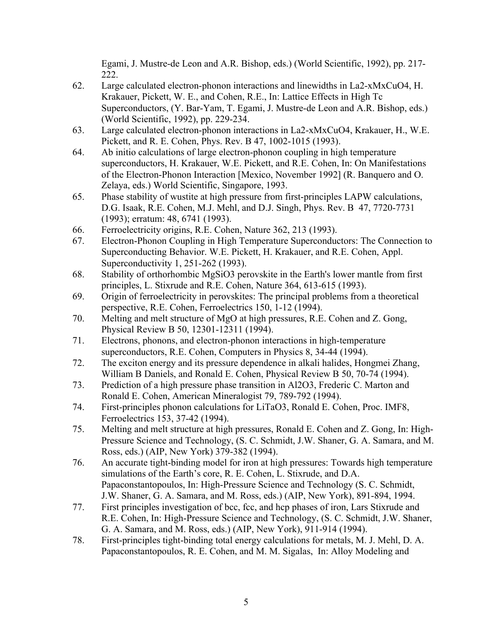Egami, J. Mustre-de Leon and A.R. Bishop, eds.) (World Scientific, 1992), pp. 217- 222.

- 62. Large calculated electron-phonon interactions and linewidths in La2-xMxCuO4, H. Krakauer, Pickett, W. E., and Cohen, R.E., In: Lattice Effects in High Tc Superconductors, (Y. Bar-Yam, T. Egami, J. Mustre-de Leon and A.R. Bishop, eds.) (World Scientific, 1992), pp. 229-234.
- 63. Large calculated electron-phonon interactions in La2-xMxCuO4, Krakauer, H., W.E. Pickett, and R. E. Cohen, Phys. Rev. B 47, 1002-1015 (1993).
- 64. Ab initio calculations of large electron-phonon coupling in high temperature superconductors, H. Krakauer, W.E. Pickett, and R.E. Cohen, In: On Manifestations of the Electron-Phonon Interaction [Mexico, November 1992] (R. Banquero and O. Zelaya, eds.) World Scientific, Singapore, 1993.
- 65. Phase stability of wustite at high pressure from first-principles LAPW calculations, D.G. Isaak, R.E. Cohen, M.J. Mehl, and D.J. Singh, Phys. Rev. B 47, 7720-7731 (1993); erratum: 48, 6741 (1993).
- 66. Ferroelectricity origins, R.E. Cohen, Nature 362, 213 (1993).
- 67. Electron-Phonon Coupling in High Temperature Superconductors: The Connection to Superconducting Behavior. W.E. Pickett, H. Krakauer, and R.E. Cohen, Appl. Superconductivity 1, 251-262 (1993).
- 68. Stability of orthorhombic MgSiO3 perovskite in the Earth's lower mantle from first principles, L. Stixrude and R.E. Cohen, Nature 364, 613-615 (1993).
- 69. Origin of ferroelectricity in perovskites: The principal problems from a theoretical perspective, R.E. Cohen, Ferroelectrics 150, 1-12 (1994).
- 70. Melting and melt structure of MgO at high pressures, R.E. Cohen and Z. Gong, Physical Review B 50, 12301-12311 (1994).
- 71. Electrons, phonons, and electron-phonon interactions in high-temperature superconductors, R.E. Cohen, Computers in Physics 8, 34-44 (1994).
- 72. The exciton energy and its pressure dependence in alkali halides, Hongmei Zhang, William B Daniels, and Ronald E. Cohen, Physical Review B 50, 70-74 (1994).
- 73. Prediction of a high pressure phase transition in Al2O3, Frederic C. Marton and Ronald E. Cohen, American Mineralogist 79, 789-792 (1994).
- 74. First-principles phonon calculations for LiTaO3, Ronald E. Cohen, Proc. IMF8, Ferroelectrics 153, 37-42 (1994).
- 75. Melting and melt structure at high pressures, Ronald E. Cohen and Z. Gong, In: High-Pressure Science and Technology, (S. C. Schmidt, J.W. Shaner, G. A. Samara, and M. Ross, eds.) (AIP, New York) 379-382 (1994).
- 76. An accurate tight-binding model for iron at high pressures: Towards high temperature simulations of the Earth's core, R. E. Cohen, L. Stixrude, and D.A. Papaconstantopoulos, In: High-Pressure Science and Technology (S. C. Schmidt, J.W. Shaner, G. A. Samara, and M. Ross, eds.) (AIP, New York), 891-894, 1994.
- 77. First principles investigation of bcc, fcc, and hcp phases of iron, Lars Stixrude and R.E. Cohen, In: High-Pressure Science and Technology, (S. C. Schmidt, J.W. Shaner, G. A. Samara, and M. Ross, eds.) (AIP, New York), 911-914 (1994).
- 78. First-principles tight-binding total energy calculations for metals, M. J. Mehl, D. A. Papaconstantopoulos, R. E. Cohen, and M. M. Sigalas, In: Alloy Modeling and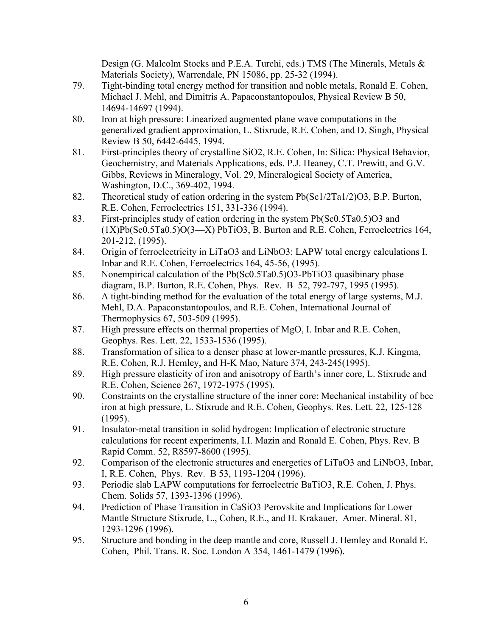Design (G. Malcolm Stocks and P.E.A. Turchi, eds.) TMS (The Minerals, Metals & Materials Society), Warrendale, PN 15086, pp. 25-32 (1994).

- 79. Tight-binding total energy method for transition and noble metals, Ronald E. Cohen, Michael J. Mehl, and Dimitris A. Papaconstantopoulos, Physical Review B 50, 14694-14697 (1994).
- 80. Iron at high pressure: Linearized augmented plane wave computations in the generalized gradient approximation, L. Stixrude, R.E. Cohen, and D. Singh, Physical Review B 50, 6442-6445, 1994.
- 81. First-principles theory of crystalline SiO2, R.E. Cohen, In: Silica: Physical Behavior, Geochemistry, and Materials Applications, eds. P.J. Heaney, C.T. Prewitt, and G.V. Gibbs, Reviews in Mineralogy, Vol. 29, Mineralogical Society of America, Washington, D.C., 369-402, 1994.
- 82. Theoretical study of cation ordering in the system Pb(Sc1/2Ta1/2)O3, B.P. Burton, R.E. Cohen, Ferroelectrics 151, 331-336 (1994).
- 83. First-principles study of cation ordering in the system Pb(Sc0.5Ta0.5)O3 and  $(1X)Pb(Sc0.5Ta0.5)O(3-X)PbTiO3, B. Burton and R.E. Cohen, Ferroelectrics 164,$ 201-212, (1995).
- 84. Origin of ferroelectricity in LiTaO3 and LiNbO3: LAPW total energy calculations I. Inbar and R.E. Cohen, Ferroelectrics 164, 45-56, (1995).
- 85. Nonempirical calculation of the Pb(Sc0.5Ta0.5)O3-PbTiO3 quasibinary phase diagram, B.P. Burton, R.E. Cohen, Phys. Rev. B 52, 792-797, 1995 (1995).
- 86. A tight-binding method for the evaluation of the total energy of large systems, M.J. Mehl, D.A. Papaconstantopoulos, and R.E. Cohen, International Journal of Thermophysics 67, 503-509 (1995).
- 87. High pressure effects on thermal properties of MgO, I. Inbar and R.E. Cohen, Geophys. Res. Lett. 22, 1533-1536 (1995).
- 88. Transformation of silica to a denser phase at lower-mantle pressures, K.J. Kingma, R.E. Cohen, R.J. Hemley, and H-K Mao, Nature 374, 243-245(1995).
- 89. High pressure elasticity of iron and anisotropy of Earth's inner core, L. Stixrude and R.E. Cohen, Science 267, 1972-1975 (1995).
- 90. Constraints on the crystalline structure of the inner core: Mechanical instability of bcc iron at high pressure, L. Stixrude and R.E. Cohen, Geophys. Res. Lett. 22, 125-128 (1995).
- 91. Insulator-metal transition in solid hydrogen: Implication of electronic structure calculations for recent experiments, I.I. Mazin and Ronald E. Cohen, Phys. Rev. B Rapid Comm. 52, R8597-8600 (1995).
- 92. Comparison of the electronic structures and energetics of LiTaO3 and LiNbO3, Inbar, I, R.E. Cohen, Phys. Rev. B 53, 1193-1204 (1996).
- 93. Periodic slab LAPW computations for ferroelectric BaTiO3, R.E. Cohen, J. Phys. Chem. Solids 57, 1393-1396 (1996).
- 94. Prediction of Phase Transition in CaSiO3 Perovskite and Implications for Lower Mantle Structure Stixrude, L., Cohen, R.E., and H. Krakauer, Amer. Mineral. 81, 1293-1296 (1996).
- 95. Structure and bonding in the deep mantle and core, Russell J. Hemley and Ronald E. Cohen, Phil. Trans. R. Soc. London A 354, 1461-1479 (1996).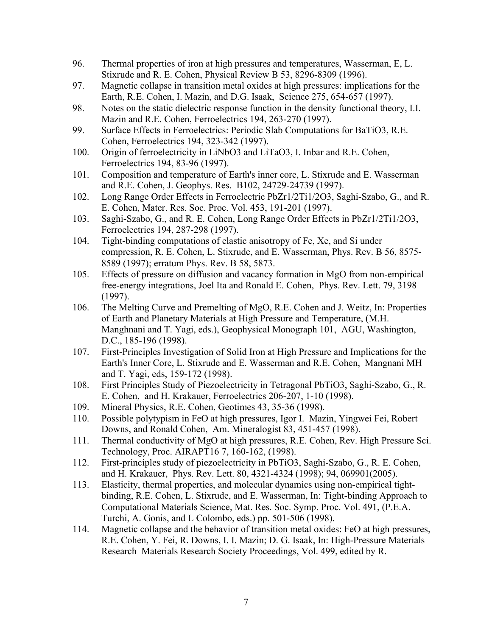- 96. Thermal properties of iron at high pressures and temperatures, Wasserman, E, L. Stixrude and R. E. Cohen, Physical Review B 53, 8296-8309 (1996).
- 97. Magnetic collapse in transition metal oxides at high pressures: implications for the Earth, R.E. Cohen, I. Mazin, and D.G. Isaak, Science 275, 654-657 (1997).
- 98. Notes on the static dielectric response function in the density functional theory, I.I. Mazin and R.E. Cohen, Ferroelectrics 194, 263-270 (1997).
- 99. Surface Effects in Ferroelectrics: Periodic Slab Computations for BaTiO3, R.E. Cohen, Ferroelectrics 194, 323-342 (1997).
- 100. Origin of ferroelectricity in LiNbO3 and LiTaO3, I. Inbar and R.E. Cohen, Ferroelectrics 194, 83-96 (1997).
- 101. Composition and temperature of Earth's inner core, L. Stixrude and E. Wasserman and R.E. Cohen, J. Geophys. Res. B102, 24729-24739 (1997).
- 102. Long Range Order Effects in Ferroelectric PbZr1/2Ti1/2O3, Saghi-Szabo, G., and R. E. Cohen, Mater. Res. Soc. Proc. Vol. 453, 191-201 (1997).
- 103. Saghi-Szabo, G., and R. E. Cohen, Long Range Order Effects in PbZr1/2Ti1/2O3, Ferroelectrics 194, 287-298 (1997).
- 104. Tight-binding computations of elastic anisotropy of Fe, Xe, and Si under compression, R. E. Cohen, L. Stixrude, and E. Wasserman, Phys. Rev. B 56, 8575- 8589 (1997); erratum Phys. Rev. B 58, 5873.
- 105. Effects of pressure on diffusion and vacancy formation in MgO from non-empirical free-energy integrations, Joel Ita and Ronald E. Cohen, Phys. Rev. Lett. 79, 3198 (1997).
- 106. The Melting Curve and Premelting of MgO, R.E. Cohen and J. Weitz, In: Properties of Earth and Planetary Materials at High Pressure and Temperature, (M.H. Manghnani and T. Yagi, eds.), Geophysical Monograph 101, AGU, Washington, D.C., 185-196 (1998).
- 107. First-Principles Investigation of Solid Iron at High Pressure and Implications for the Earth's Inner Core, L. Stixrude and E. Wasserman and R.E. Cohen, Mangnani MH and T. Yagi, eds, 159-172 (1998).
- 108. First Principles Study of Piezoelectricity in Tetragonal PbTiO3, Saghi-Szabo, G., R. E. Cohen, and H. Krakauer, Ferroelectrics 206-207, 1-10 (1998).
- 109. Mineral Physics, R.E. Cohen, Geotimes 43, 35-36 (1998).
- 110. Possible polytypism in FeO at high pressures, Igor I. Mazin, Yingwei Fei, Robert Downs, and Ronald Cohen, Am. Mineralogist 83, 451-457 (1998).
- 111. Thermal conductivity of MgO at high pressures, R.E. Cohen, Rev. High Pressure Sci. Technology, Proc. AIRAPT16 7, 160-162, (1998).
- 112. First-principles study of piezoelectricity in PbTiO3, Saghi-Szabo, G., R. E. Cohen, and H. Krakauer, Phys. Rev. Lett. 80, 4321-4324 (1998); 94, 069901(2005).
- 113. Elasticity, thermal properties, and molecular dynamics using non-empirical tightbinding, R.E. Cohen, L. Stixrude, and E. Wasserman, In: Tight-binding Approach to Computational Materials Science, Mat. Res. Soc. Symp. Proc. Vol. 491, (P.E.A. Turchi, A. Gonis, and L Colombo, eds.) pp. 501-506 (1998).
- 114. Magnetic collapse and the behavior of transition metal oxides: FeO at high pressures, R.E. Cohen, Y. Fei, R. Downs, I. I. Mazin; D. G. Isaak, In: High-Pressure Materials Research Materials Research Society Proceedings, Vol. 499, edited by R.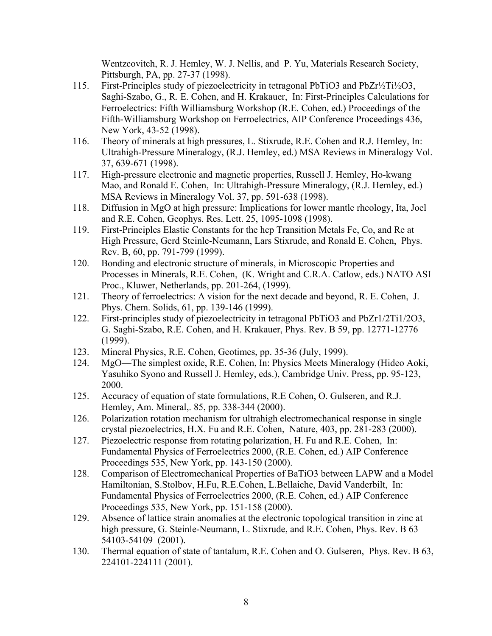Wentzcovitch, R. J. Hemley, W. J. Nellis, and P. Yu, Materials Research Society, Pittsburgh, PA, pp. 27-37 (1998).

- 115. First-Principles study of piezoelectricity in tetragonal PbTiO3 and PbZr½Ti½O3, Saghi-Szabo, G., R. E. Cohen, and H. Krakauer, In: First-Principles Calculations for Ferroelectrics: Fifth Williamsburg Workshop (R.E. Cohen, ed.) Proceedings of the Fifth-Williamsburg Workshop on Ferroelectrics, AIP Conference Proceedings 436, New York, 43-52 (1998).
- 116. Theory of minerals at high pressures, L. Stixrude, R.E. Cohen and R.J. Hemley, In: Ultrahigh-Pressure Mineralogy, (R.J. Hemley, ed.) MSA Reviews in Mineralogy Vol. 37, 639-671 (1998).
- 117. High-pressure electronic and magnetic properties, Russell J. Hemley, Ho-kwang Mao, and Ronald E. Cohen, In: Ultrahigh-Pressure Mineralogy, (R.J. Hemley, ed.) MSA Reviews in Mineralogy Vol. 37, pp. 591-638 (1998).
- 118. Diffusion in MgO at high pressure: Implications for lower mantle rheology, Ita, Joel and R.E. Cohen, Geophys. Res. Lett. 25, 1095-1098 (1998).
- 119. First-Principles Elastic Constants for the hcp Transition Metals Fe, Co, and Re at High Pressure, Gerd Steinle-Neumann, Lars Stixrude, and Ronald E. Cohen, Phys. Rev. B, 60, pp. 791-799 (1999).
- 120. Bonding and electronic structure of minerals, in Microscopic Properties and Processes in Minerals, R.E. Cohen, (K. Wright and C.R.A. Catlow, eds.) NATO ASI Proc., Kluwer, Netherlands, pp. 201-264, (1999).
- 121. Theory of ferroelectrics: A vision for the next decade and beyond, R. E. Cohen, J. Phys. Chem. Solids, 61, pp. 139-146 (1999).
- 122. First-principles study of piezoelectricity in tetragonal PbTiO3 and PbZr1/2Ti1/2O3, G. Saghi-Szabo, R.E. Cohen, and H. Krakauer, Phys. Rev. B 59, pp. 12771-12776 (1999).
- 123. Mineral Physics, R.E. Cohen, Geotimes, pp. 35-36 (July, 1999).
- 124. MgO—The simplest oxide, R.E. Cohen, In: Physics Meets Mineralogy (Hideo Aoki, Yasuhiko Syono and Russell J. Hemley, eds.), Cambridge Univ. Press, pp. 95-123, 2000.
- 125. Accuracy of equation of state formulations, R.E Cohen, O. Gulseren, and R.J. Hemley, Am. Mineral,. 85, pp. 338-344 (2000).
- 126. Polarization rotation mechanism for ultrahigh electromechanical response in single crystal piezoelectrics, H.X. Fu and R.E. Cohen, Nature, 403, pp. 281-283 (2000).
- 127. Piezoelectric response from rotating polarization, H. Fu and R.E. Cohen, In: Fundamental Physics of Ferroelectrics 2000, (R.E. Cohen, ed.) AIP Conference Proceedings 535, New York, pp. 143-150 (2000).
- 128. Comparison of Electromechanical Properties of BaTiO3 between LAPW and a Model Hamiltonian, S.Stolbov, H.Fu, R.E.Cohen, L.Bellaiche, David Vanderbilt, In: Fundamental Physics of Ferroelectrics 2000, (R.E. Cohen, ed.) AIP Conference Proceedings 535, New York, pp. 151-158 (2000).
- 129. Absence of lattice strain anomalies at the electronic topological transition in zinc at high pressure, G. Steinle-Neumann, L. Stixrude, and R.E. Cohen, Phys. Rev. B 63 54103-54109 (2001).
- 130. Thermal equation of state of tantalum, R.E. Cohen and O. Gulseren, Phys. Rev. B 63, 224101-224111 (2001).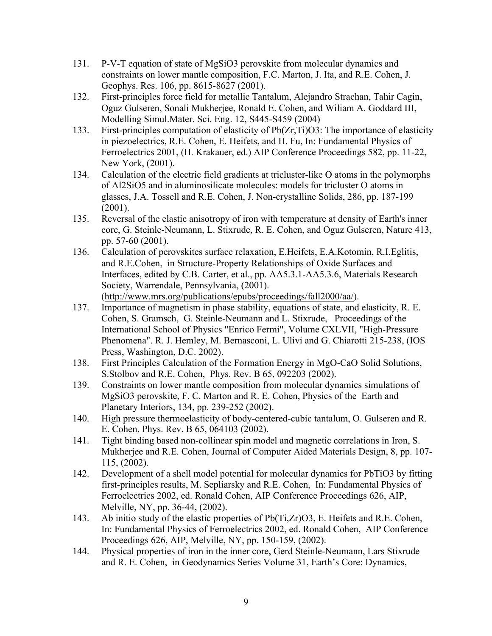- 131. P-V-T equation of state of MgSiO3 perovskite from molecular dynamics and constraints on lower mantle composition, F.C. Marton, J. Ita, and R.E. Cohen, J. Geophys. Res. 106, pp. 8615-8627 (2001).
- 132. First-principles force field for metallic Tantalum, Alejandro Strachan, Tahir Cagin, Oguz Gulseren, Sonali Mukherjee, Ronald E. Cohen, and Wiliam A. Goddard III, Modelling Simul.Mater. Sci. Eng. 12, S445-S459 (2004)
- 133. First-principles computation of elasticity of Pb(Zr,Ti)O3: The importance of elasticity in piezoelectrics, R.E. Cohen, E. Heifets, and H. Fu, In: Fundamental Physics of Ferroelectrics 2001, (H. Krakauer, ed.) AIP Conference Proceedings 582, pp. 11-22, New York, (2001).
- 134. Calculation of the electric field gradients at tricluster-like O atoms in the polymorphs of Al2SiO5 and in aluminosilicate molecules: models for tricluster O atoms in glasses, J.A. Tossell and R.E. Cohen, J. Non-crystalline Solids, 286, pp. 187-199 (2001).
- 135. Reversal of the elastic anisotropy of iron with temperature at density of Earth's inner core, G. Steinle-Neumann, L. Stixrude, R. E. Cohen, and Oguz Gulseren, Nature 413, pp. 57-60 (2001).
- 136. Calculation of perovskites surface relaxation, E.Heifets, E.A.Kotomin, R.I.Eglitis, and R.E.Cohen, in Structure-Property Relationships of Oxide Surfaces and Interfaces, edited by C.B. Carter, et al., pp. AA5.3.1-AA5.3.6, Materials Research Society, Warrendale, Pennsylvania, (2001). (http://www.mrs.org/publications/epubs/proceedings/fall2000/aa/).
- 137. Importance of magnetism in phase stability, equations of state, and elasticity, R. E. Cohen, S. Gramsch, G. Steinle-Neumann and L. Stixrude, Proceedings of the International School of Physics "Enrico Fermi", Volume CXLVII, "High-Pressure Phenomena". R. J. Hemley, M. Bernasconi, L. Ulivi and G. Chiarotti 215-238, (IOS Press, Washington, D.C. 2002).
- 138. First Principles Calculation of the Formation Energy in MgO-CaO Solid Solutions, S.Stolbov and R.E. Cohen, Phys. Rev. B 65, 092203 (2002).
- 139. Constraints on lower mantle composition from molecular dynamics simulations of MgSiO3 perovskite, F. C. Marton and R. E. Cohen, Physics of the Earth and Planetary Interiors, 134, pp. 239-252 (2002).
- 140. High pressure thermoelasticity of body-centered-cubic tantalum, O. Gulseren and R. E. Cohen, Phys. Rev. B 65, 064103 (2002).
- 141. Tight binding based non-collinear spin model and magnetic correlations in Iron, S. Mukherjee and R.E. Cohen, Journal of Computer Aided Materials Design, 8, pp. 107- 115, (2002).
- 142. Development of a shell model potential for molecular dynamics for PbTiO3 by fitting first-principles results, M. Sepliarsky and R.E. Cohen, In: Fundamental Physics of Ferroelectrics 2002, ed. Ronald Cohen, AIP Conference Proceedings 626, AIP, Melville, NY, pp. 36-44, (2002).
- 143. Ab initio study of the elastic properties of Pb(Ti,Zr)O3, E. Heifets and R.E. Cohen, In: Fundamental Physics of Ferroelectrics 2002, ed. Ronald Cohen, AIP Conference Proceedings 626, AIP, Melville, NY, pp. 150-159, (2002).
- 144. Physical properties of iron in the inner core, Gerd Steinle-Neumann, Lars Stixrude and R. E. Cohen, in Geodynamics Series Volume 31, Earth's Core: Dynamics,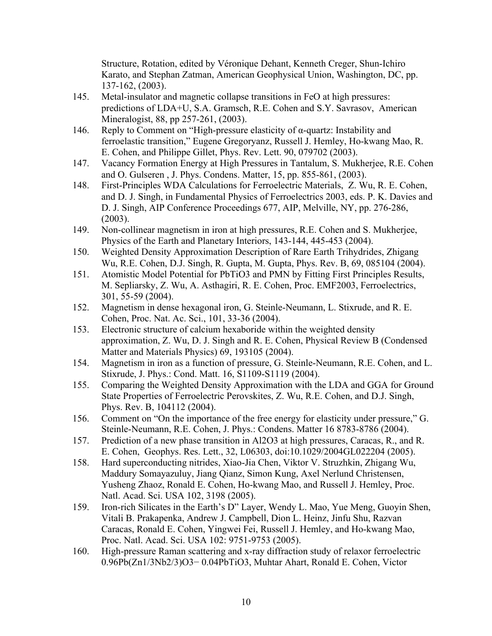Structure, Rotation, edited by Véronique Dehant, Kenneth Creger, Shun-Ichiro Karato, and Stephan Zatman, American Geophysical Union, Washington, DC, pp. 137-162, (2003).

- 145. Metal-insulator and magnetic collapse transitions in FeO at high pressures: predictions of LDA+U, S.A. Gramsch, R.E. Cohen and S.Y. Savrasov, American Mineralogist, 88, pp 257-261, (2003).
- 146. Reply to Comment on "High-pressure elasticity of  $\alpha$ -quartz: Instability and ferroelastic transition," Eugene Gregoryanz, Russell J. Hemley, Ho-kwang Mao, R. E. Cohen, and Philippe Gillet, Phys. Rev. Lett. 90, 079702 (2003).
- 147. Vacancy Formation Energy at High Pressures in Tantalum, S. Mukherjee, R.E. Cohen and O. Gulseren , J. Phys. Condens. Matter, 15, pp. 855-861, (2003).
- 148. First-Principles WDA Calculations for Ferroelectric Materials, Z. Wu, R. E. Cohen, and D. J. Singh, in Fundamental Physics of Ferroelectrics 2003, eds. P. K. Davies and D. J. Singh, AIP Conference Proceedings 677, AIP, Melville, NY, pp. 276-286, (2003).
- 149. Non-collinear magnetism in iron at high pressures, R.E. Cohen and S. Mukherjee, Physics of the Earth and Planetary Interiors, 143-144, 445-453 (2004).
- 150. Weighted Density Approximation Description of Rare Earth Trihydrides, Zhigang Wu, R.E. Cohen, D.J. Singh, R. Gupta, M. Gupta, Phys. Rev. B, 69, 085104 (2004).
- 151. Atomistic Model Potential for PbTiO3 and PMN by Fitting First Principles Results, M. Sepliarsky, Z. Wu, A. Asthagiri, R. E. Cohen, Proc. EMF2003, Ferroelectrics, 301, 55-59 (2004).
- 152. Magnetism in dense hexagonal iron, G. Steinle-Neumann, L. Stixrude, and R. E. Cohen, Proc. Nat. Ac. Sci., 101, 33-36 (2004).
- 153. Electronic structure of calcium hexaboride within the weighted density approximation, Z. Wu, D. J. Singh and R. E. Cohen, Physical Review B (Condensed Matter and Materials Physics) 69, 193105 (2004).
- 154. Magnetism in iron as a function of pressure, G. Steinle-Neumann, R.E. Cohen, and L. Stixrude, J. Phys.: Cond. Matt. 16, S1109-S1119 (2004).
- 155. Comparing the Weighted Density Approximation with the LDA and GGA for Ground State Properties of Ferroelectric Perovskites, Z. Wu, R.E. Cohen, and D.J. Singh, Phys. Rev. B, 104112 (2004).
- 156. Comment on "On the importance of the free energy for elasticity under pressure," G. Steinle-Neumann, R.E. Cohen, J. Phys.: Condens. Matter 16 8783-8786 (2004).
- 157. Prediction of a new phase transition in Al2O3 at high pressures, Caracas, R., and R. E. Cohen, Geophys. Res. Lett., 32, L06303, doi:10.1029/2004GL022204 (2005).
- 158. Hard superconducting nitrides, Xiao-Jia Chen, Viktor V. Struzhkin, Zhigang Wu, Maddury Somayazuluy, Jiang Qianz, Simon Kung, Axel Nerlund Christensen, Yusheng Zhaoz, Ronald E. Cohen, Ho-kwang Mao, and Russell J. Hemley, Proc. Natl. Acad. Sci. USA 102, 3198 (2005).
- 159. Iron-rich Silicates in the Earth's D" Layer, Wendy L. Mao, Yue Meng, Guoyin Shen, Vitali B. Prakapenka, Andrew J. Campbell, Dion L. Heinz, Jinfu Shu, Razvan Caracas, Ronald E. Cohen, Yingwei Fei, Russell J. Hemley, and Ho-kwang Mao, Proc. Natl. Acad. Sci. USA 102: 9751-9753 (2005).
- 160. High-pressure Raman scattering and x-ray diffraction study of relaxor ferroelectric 0.96Pb(Zn1/3Nb2/3)O3− 0.04PbTiO3, Muhtar Ahart, Ronald E. Cohen, Victor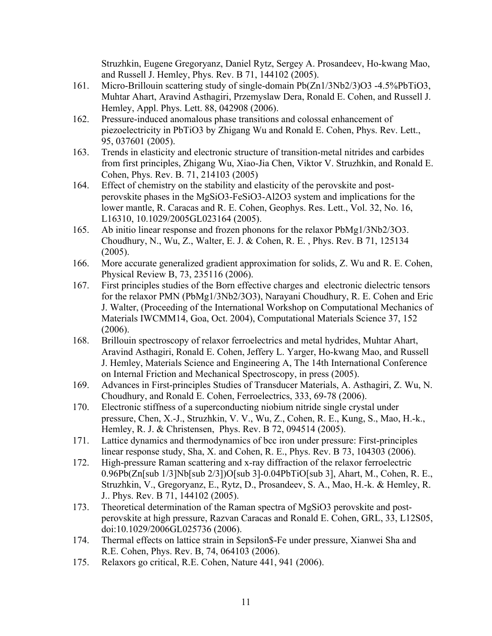Struzhkin, Eugene Gregoryanz, Daniel Rytz, Sergey A. Prosandeev, Ho-kwang Mao, and Russell J. Hemley, Phys. Rev. B 71, 144102 (2005).

- 161. Micro-Brillouin scattering study of single-domain Pb(Zn1/3Nb2/3)O3 -4.5%PbTiO3, Muhtar Ahart, Aravind Asthagiri, Przemyslaw Dera, Ronald E. Cohen, and Russell J. Hemley, Appl. Phys. Lett. 88, 042908 (2006).
- 162. Pressure-induced anomalous phase transitions and colossal enhancement of piezoelectricity in PbTiO3 by Zhigang Wu and Ronald E. Cohen, Phys. Rev. Lett., 95, 037601 (2005).
- 163. Trends in elasticity and electronic structure of transition-metal nitrides and carbides from first principles, Zhigang Wu, Xiao-Jia Chen, Viktor V. Struzhkin, and Ronald E. Cohen, Phys. Rev. B. 71, 214103 (2005)
- 164. Effect of chemistry on the stability and elasticity of the perovskite and postperovskite phases in the MgSiO3-FeSiO3-Al2O3 system and implications for the lower mantle, R. Caracas and R. E. Cohen, Geophys. Res. Lett., Vol. 32, No. 16, L16310, 10.1029/2005GL023164 (2005).
- 165. Ab initio linear response and frozen phonons for the relaxor PbMg1/3Nb2/3O3. Choudhury, N., Wu, Z., Walter, E. J. & Cohen, R. E. , Phys. Rev. B 71, 125134 (2005).
- 166. More accurate generalized gradient approximation for solids, Z. Wu and R. E. Cohen, Physical Review B, 73, 235116 (2006).
- 167. First principles studies of the Born effective charges and electronic dielectric tensors for the relaxor PMN (PbMg1/3Nb2/3O3), Narayani Choudhury, R. E. Cohen and Eric J. Walter, (Proceeding of the International Workshop on Computational Mechanics of Materials IWCMM14, Goa, Oct. 2004), Computational Materials Science 37, 152 (2006).
- 168. Brillouin spectroscopy of relaxor ferroelectrics and metal hydrides, Muhtar Ahart, Aravind Asthagiri, Ronald E. Cohen, Jeffery L. Yarger, Ho-kwang Mao, and Russell J. Hemley, Materials Science and Engineering A, The 14th International Conference on Internal Friction and Mechanical Spectroscopy, in press (2005).
- 169. Advances in First-principles Studies of Transducer Materials, A. Asthagiri, Z. Wu, N. Choudhury, and Ronald E. Cohen, Ferroelectrics, 333, 69-78 (2006).
- 170. Electronic stiffness of a superconducting niobium nitride single crystal under pressure, Chen, X.-J., Struzhkin, V. V., Wu, Z., Cohen, R. E., Kung, S., Mao, H.-k., Hemley, R. J. & Christensen, Phys. Rev. B 72, 094514 (2005).
- 171. Lattice dynamics and thermodynamics of bcc iron under pressure: First-principles linear response study, Sha, X. and Cohen, R. E., Phys. Rev. B 73, 104303 (2006).
- 172. High-pressure Raman scattering and x-ray diffraction of the relaxor ferroelectric 0.96Pb(Zn[sub 1/3]Nb[sub 2/3])O[sub 3]-0.04PbTiO[sub 3], Ahart, M., Cohen, R. E., Struzhkin, V., Gregoryanz, E., Rytz, D., Prosandeev, S. A., Mao, H.-k. & Hemley, R. J.. Phys. Rev. B 71, 144102 (2005).
- 173. Theoretical determination of the Raman spectra of MgSiO3 perovskite and postperovskite at high pressure, Razvan Caracas and Ronald E. Cohen, GRL, 33, L12S05, doi:10.1029/2006GL025736 (2006).
- 174. Thermal effects on lattice strain in \$epsilon\$-Fe under pressure, Xianwei Sha and R.E. Cohen, Phys. Rev. B, 74, 064103 (2006).
- 175. Relaxors go critical, R.E. Cohen, Nature 441, 941 (2006).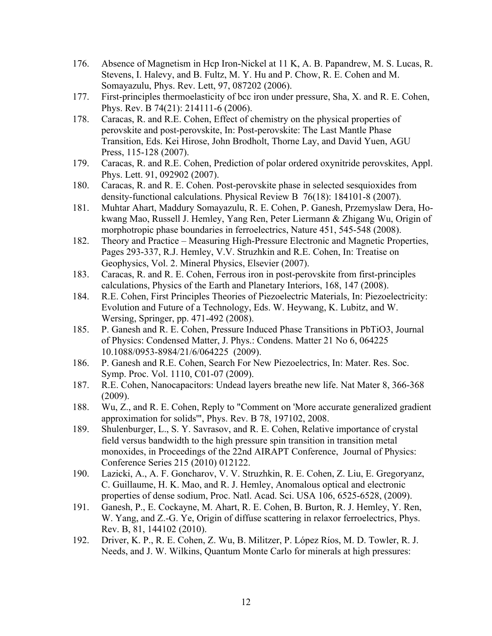- 176. Absence of Magnetism in Hcp Iron-Nickel at 11 K, A. B. Papandrew, M. S. Lucas, R. Stevens, I. Halevy, and B. Fultz, M. Y. Hu and P. Chow, R. E. Cohen and M. Somayazulu, Phys. Rev. Lett, 97, 087202 (2006).
- 177. First-principles thermoelasticity of bcc iron under pressure, Sha, X. and R. E. Cohen, Phys. Rev. B 74(21): 214111-6 (2006).
- 178. Caracas, R. and R.E. Cohen, Effect of chemistry on the physical properties of perovskite and post-perovskite, In: Post-perovskite: The Last Mantle Phase Transition, Eds. Kei Hirose, John Brodholt, Thorne Lay, and David Yuen, AGU Press, 115-128 (2007).
- 179. Caracas, R. and R.E. Cohen, Prediction of polar ordered oxynitride perovskites, Appl. Phys. Lett. 91, 092902 (2007).
- 180. Caracas, R. and R. E. Cohen. Post-perovskite phase in selected sesquioxides from density-functional calculations. Physical Review B 76(18): 184101-8 (2007).
- 181. Muhtar Ahart, Maddury Somayazulu, R. E. Cohen, P. Ganesh, Przemyslaw Dera, Hokwang Mao, Russell J. Hemley, Yang Ren, Peter Liermann & Zhigang Wu, Origin of morphotropic phase boundaries in ferroelectrics, Nature 451, 545-548 (2008).
- 182. Theory and Practice Measuring High-Pressure Electronic and Magnetic Properties, Pages 293-337, R.J. Hemley, V.V. Struzhkin and R.E. Cohen, In: Treatise on Geophysics, Vol. 2. Mineral Physics, Elsevier (2007).
- 183. Caracas, R. and R. E. Cohen, Ferrous iron in post-perovskite from first-principles calculations, Physics of the Earth and Planetary Interiors, 168, 147 (2008).
- 184. R.E. Cohen, First Principles Theories of Piezoelectric Materials, In: Piezoelectricity: Evolution and Future of a Technology, Eds. W. Heywang, K. Lubitz, and W. Wersing, Springer, pp. 471-492 (2008).
- 185. P. Ganesh and R. E. Cohen, Pressure Induced Phase Transitions in PbTiO3, Journal of Physics: Condensed Matter, J. Phys.: Condens. Matter 21 No 6, 064225 10.1088/0953-8984/21/6/064225 (2009).
- 186. P. Ganesh and R.E. Cohen, Search For New Piezoelectrics, In: Mater. Res. Soc. Symp. Proc. Vol. 1110, C01-07 (2009).
- 187. R.E. Cohen, Nanocapacitors: Undead layers breathe new life. Nat Mater 8, 366-368 (2009).
- 188. Wu, Z., and R. E. Cohen, Reply to "Comment on 'More accurate generalized gradient approximation for solids'", Phys. Rev. B 78, 197102, 2008.
- 189. Shulenburger, L., S. Y. Savrasov, and R. E. Cohen, Relative importance of crystal field versus bandwidth to the high pressure spin transition in transition metal monoxides, in Proceedings of the 22nd AIRAPT Conference, Journal of Physics: Conference Series 215 (2010) 012122.
- 190. Lazicki, A., A. F. Goncharov, V. V. Struzhkin, R. E. Cohen, Z. Liu, E. Gregoryanz, C. Guillaume, H. K. Mao, and R. J. Hemley, Anomalous optical and electronic properties of dense sodium, Proc. Natl. Acad. Sci. USA 106, 6525-6528, (2009).
- 191. Ganesh, P., E. Cockayne, M. Ahart, R. E. Cohen, B. Burton, R. J. Hemley, Y. Ren, W. Yang, and Z.-G. Ye, Origin of diffuse scattering in relaxor ferroelectrics, Phys. Rev. B, 81, 144102 (2010).
- 192. Driver, K. P., R. E. Cohen, Z. Wu, B. Militzer, P. López Ríos, M. D. Towler, R. J. Needs, and J. W. Wilkins, Quantum Monte Carlo for minerals at high pressures: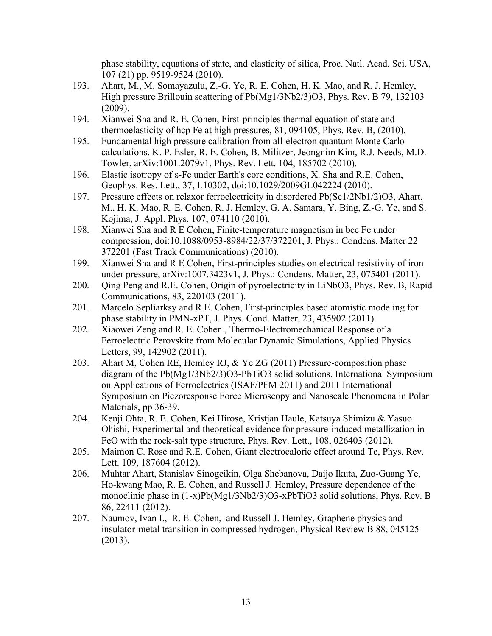phase stability, equations of state, and elasticity of silica, Proc. Natl. Acad. Sci. USA, 107 (21) pp. 9519-9524 (2010).

- 193. Ahart, M., M. Somayazulu, Z.-G. Ye, R. E. Cohen, H. K. Mao, and R. J. Hemley, High pressure Brillouin scattering of Pb(Mg1/3Nb2/3)O3, Phys. Rev. B 79, 132103 (2009).
- 194. Xianwei Sha and R. E. Cohen, First-principles thermal equation of state and thermoelasticity of hcp Fe at high pressures, 81, 094105, Phys. Rev. B, (2010).
- 195. Fundamental high pressure calibration from all-electron quantum Monte Carlo calculations, K. P. Esler, R. E. Cohen, B. Militzer, Jeongnim Kim, R.J. Needs, M.D. Towler, arXiv:1001.2079v1, Phys. Rev. Lett. 104, 185702 (2010).
- 196. Elastic isotropy of ε-Fe under Earth's core conditions, X. Sha and R.E. Cohen, Geophys. Res. Lett., 37, L10302, doi:10.1029/2009GL042224 (2010).
- 197. Pressure effects on relaxor ferroelectricity in disordered Pb(Sc1/2Nb1/2)O3, Ahart, M., H. K. Mao, R. E. Cohen, R. J. Hemley, G. A. Samara, Y. Bing, Z.-G. Ye, and S. Kojima, J. Appl. Phys. 107, 074110 (2010).
- 198. Xianwei Sha and R E Cohen, Finite-temperature magnetism in bcc Fe under compression, doi:10.1088/0953-8984/22/37/372201, J. Phys.: Condens. Matter 22 372201 (Fast Track Communications) (2010).
- 199. Xianwei Sha and R E Cohen, First-principles studies on electrical resistivity of iron under pressure, arXiv:1007.3423v1, J. Phys.: Condens. Matter, 23, 075401 (2011).
- 200. Qing Peng and R.E. Cohen, Origin of pyroelectricity in LiNbO3, Phys. Rev. B, Rapid Communications, 83, 220103 (2011).
- 201. Marcelo Sepliarksy and R.E. Cohen, First-principles based atomistic modeling for phase stability in PMN-xPT, J. Phys. Cond. Matter, 23, 435902 (2011).
- 202. Xiaowei Zeng and R. E. Cohen , Thermo-Electromechanical Response of a Ferroelectric Perovskite from Molecular Dynamic Simulations, Applied Physics Letters, 99, 142902 (2011).
- 203. Ahart M, Cohen RE, Hemley RJ, & Ye ZG (2011) Pressure-composition phase diagram of the Pb(Mg1/3Nb2/3)O3-PbTiO3 solid solutions. International Symposium on Applications of Ferroelectrics (ISAF/PFM 2011) and 2011 International Symposium on Piezoresponse Force Microscopy and Nanoscale Phenomena in Polar Materials, pp 36-39.
- 204. Kenji Ohta, R. E. Cohen, Kei Hirose, Kristjan Haule, Katsuya Shimizu & Yasuo Ohishi, Experimental and theoretical evidence for pressure-induced metallization in FeO with the rock-salt type structure, Phys. Rev. Lett., 108, 026403 (2012).
- 205. Maimon C. Rose and R.E. Cohen, Giant electrocaloric effect around Tc, Phys. Rev. Lett. 109, 187604 (2012).
- 206. Muhtar Ahart, Stanislav Sinogeikin, Olga Shebanova, Daijo Ikuta, Zuo-Guang Ye, Ho-kwang Mao, R. E. Cohen, and Russell J. Hemley, Pressure dependence of the monoclinic phase in (1-x)Pb(Mg1/3Nb2/3)O3-xPbTiO3 solid solutions, Phys. Rev. B 86, 22411 (2012).
- 207. Naumov, Ivan I., R. E. Cohen, and Russell J. Hemley, Graphene physics and insulator-metal transition in compressed hydrogen, Physical Review B 88, 045125 (2013).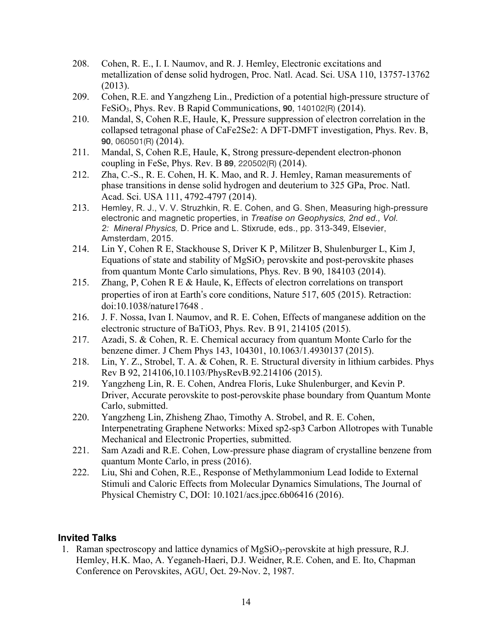- 208. Cohen, R. E., I. I. Naumov, and R. J. Hemley, Electronic excitations and metallization of dense solid hydrogen, Proc. Natl. Acad. Sci. USA 110, 13757-13762 (2013).
- 209. Cohen, R.E. and Yangzheng Lin., Prediction of a potential high-pressure structure of FeSiO3, Phys. Rev. B Rapid Communications, **90**, 140102(R) (2014).
- 210. Mandal, S, Cohen R.E, Haule, K, Pressure suppression of electron correlation in the collapsed tetragonal phase of CaFe2Se2: A DFT-DMFT investigation, Phys. Rev. B, **90**, 060501(R) (2014).
- 211. Mandal, S, Cohen R.E, Haule, K, Strong pressure-dependent electron-phonon coupling in FeSe, Phys. Rev. B **89**, 220502(R) (2014).
- 212. Zha, C.-S., R. E. Cohen, H. K. Mao, and R. J. Hemley, Raman measurements of phase transitions in dense solid hydrogen and deuterium to 325 GPa, Proc. Natl. Acad. Sci. USA 111, 4792-4797 (2014).
- 213. Hemley, R. J., V. V. Struzhkin, R. E. Cohen, and G. Shen, Measuring high-pressure electronic and magnetic properties, in *Treatise on Geophysics, 2nd ed., Vol. 2: Mineral Physics,* D. Price and L. Stixrude, eds., pp. 313-349, Elsevier, Amsterdam, 2015.
- 214. Lin Y, Cohen R E, Stackhouse S, Driver K P, Militzer B, Shulenburger L, Kim J, Equations of state and stability of  $MgSiO<sub>3</sub>$  perovskite and post-perovskite phases from quantum Monte Carlo simulations, Phys. Rev. B 90, 184103 (2014).
- 215. Zhang, P, Cohen R E & Haule, K, Effects of electron correlations on transport properties of iron at Earth's core conditions, Nature 517, 605 (2015). Retraction: doi:10.1038/nature17648 .
- 216. J. F. Nossa, Ivan I. Naumov, and R. E. Cohen, Effects of manganese addition on the electronic structure of BaTiO3, Phys. Rev. B 91, 214105 (2015).
- 217. Azadi, S. & Cohen, R. E. Chemical accuracy from quantum Monte Carlo for the benzene dimer. J Chem Phys 143, 104301, 10.1063/1.4930137 (2015).
- 218. Lin, Y. Z., Strobel, T. A. & Cohen, R. E. Structural diversity in lithium carbides. Phys Rev B 92, 214106,10.1103/PhysRevB.92.214106 (2015).
- 219. Yangzheng Lin, R. E. Cohen, Andrea Floris, Luke Shulenburger, and Kevin P. Driver, Accurate perovskite to post-perovskite phase boundary from Quantum Monte Carlo, submitted.
- 220. Yangzheng Lin, Zhisheng Zhao, Timothy A. Strobel, and R. E. Cohen, Interpenetrating Graphene Networks: Mixed sp2-sp3 Carbon Allotropes with Tunable Mechanical and Electronic Properties, submitted.
- 221. Sam Azadi and R.E. Cohen, Low-pressure phase diagram of crystalline benzene from quantum Monte Carlo, in press (2016).
- 222. Liu, Shi and Cohen, R.E., Response of Methylammonium Lead Iodide to External Stimuli and Caloric Effects from Molecular Dynamics Simulations, The Journal of Physical Chemistry C, DOI: 10.1021/acs.jpcc.6b06416 (2016).

### **Invited Talks**

1. Raman spectroscopy and lattice dynamics of  $MgSiO_3$ -perovskite at high pressure, R.J. Hemley, H.K. Mao, A. Yeganeh-Haeri, D.J. Weidner, R.E. Cohen, and E. Ito, Chapman Conference on Perovskites, AGU, Oct. 29-Nov. 2, 1987.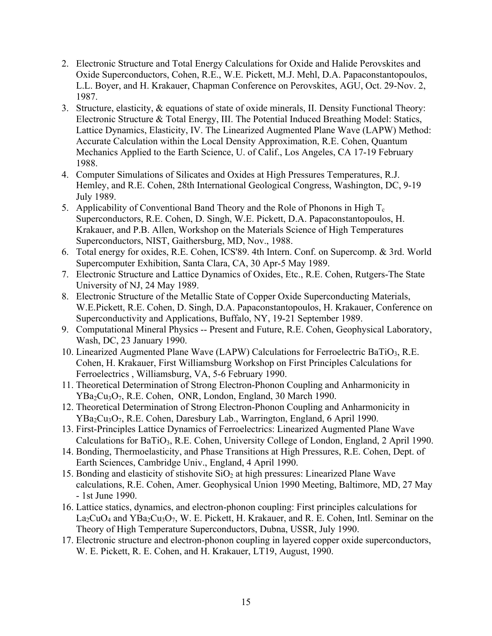- 2. Electronic Structure and Total Energy Calculations for Oxide and Halide Perovskites and Oxide Superconductors, Cohen, R.E., W.E. Pickett, M.J. Mehl, D.A. Papaconstantopoulos, L.L. Boyer, and H. Krakauer, Chapman Conference on Perovskites, AGU, Oct. 29-Nov. 2, 1987.
- 3. Structure, elasticity, & equations of state of oxide minerals, II. Density Functional Theory: Electronic Structure & Total Energy, III. The Potential Induced Breathing Model: Statics, Lattice Dynamics, Elasticity, IV. The Linearized Augmented Plane Wave (LAPW) Method: Accurate Calculation within the Local Density Approximation, R.E. Cohen, Quantum Mechanics Applied to the Earth Science, U. of Calif., Los Angeles, CA 17-19 February 1988.
- 4. Computer Simulations of Silicates and Oxides at High Pressures Temperatures, R.J. Hemley, and R.E. Cohen, 28th International Geological Congress, Washington, DC, 9-19 July 1989.
- 5. Applicability of Conventional Band Theory and the Role of Phonons in High  $T_c$ Superconductors, R.E. Cohen, D. Singh, W.E. Pickett, D.A. Papaconstantopoulos, H. Krakauer, and P.B. Allen, Workshop on the Materials Science of High Temperatures Superconductors, NIST, Gaithersburg, MD, Nov., 1988.
- 6. Total energy for oxides, R.E. Cohen, ICS'89. 4th Intern. Conf. on Supercomp. & 3rd. World Supercomputer Exhibition, Santa Clara, CA, 30 Apr-5 May 1989.
- 7. Electronic Structure and Lattice Dynamics of Oxides, Etc., R.E. Cohen, Rutgers-The State University of NJ, 24 May 1989.
- 8. Electronic Structure of the Metallic State of Copper Oxide Superconducting Materials, W.E.Pickett, R.E. Cohen, D. Singh, D.A. Papaconstantopoulos, H. Krakauer, Conference on Superconductivity and Applications, Buffalo, NY, 19-21 September 1989.
- 9. Computational Mineral Physics -- Present and Future, R.E. Cohen, Geophysical Laboratory, Wash, DC, 23 January 1990.
- 10. Linearized Augmented Plane Wave (LAPW) Calculations for Ferroelectric BaTiO<sub>3</sub>, R.E. Cohen, H. Krakauer, First Williamsburg Workshop on First Principles Calculations for Ferroelectrics , Williamsburg, VA, 5-6 February 1990.
- 11. Theoretical Determination of Strong Electron-Phonon Coupling and Anharmonicity in YBa<sub>2</sub>Cu<sub>3</sub>O<sub>7</sub>, R.E. Cohen, ONR, London, England, 30 March 1990.
- 12. Theoretical Determination of Strong Electron-Phonon Coupling and Anharmonicity in  $YBa<sub>2</sub>Cu<sub>3</sub>O<sub>7</sub>$ , R.E. Cohen, Daresbury Lab., Warrington, England, 6 April 1990.
- 13. First-Principles Lattice Dynamics of Ferroelectrics: Linearized Augmented Plane Wave Calculations for BaTiO<sub>3</sub>, R.E. Cohen, University College of London, England, 2 April 1990.
- 14. Bonding, Thermoelasticity, and Phase Transitions at High Pressures, R.E. Cohen, Dept. of Earth Sciences, Cambridge Univ., England, 4 April 1990.
- 15. Bonding and elasticity of stishovite  $SiO<sub>2</sub>$  at high pressures: Linearized Plane Wave calculations, R.E. Cohen, Amer. Geophysical Union 1990 Meeting, Baltimore, MD, 27 May - 1st June 1990.
- 16. Lattice statics, dynamics, and electron-phonon coupling: First principles calculations for  $La_2CuO_4$  and  $YBa_2Cu_3O_7$ , W. E. Pickett, H. Krakauer, and R. E. Cohen, Intl. Seminar on the Theory of High Temperature Superconductors, Dubna, USSR, July 1990.
- 17. Electronic structure and electron-phonon coupling in layered copper oxide superconductors, W. E. Pickett, R. E. Cohen, and H. Krakauer, LT19, August, 1990.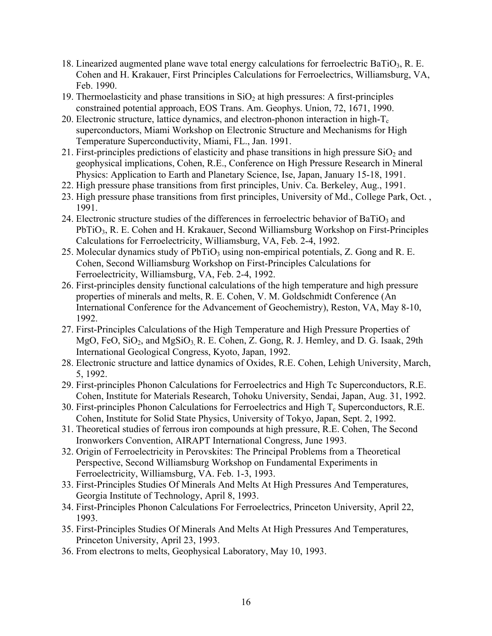- 18. Linearized augmented plane wave total energy calculations for ferroelectric BaTiO<sub>3</sub>, R. E. Cohen and H. Krakauer, First Principles Calculations for Ferroelectrics, Williamsburg, VA, Feb. 1990.
- 19. Thermoelasticity and phase transitions in  $SiO<sub>2</sub>$  at high pressures: A first-principles constrained potential approach, EOS Trans. Am. Geophys. Union, 72, 1671, 1990.
- 20. Electronic structure, lattice dynamics, and electron-phonon interaction in high- $T_c$ superconductors, Miami Workshop on Electronic Structure and Mechanisms for High Temperature Superconductivity, Miami, FL., Jan. 1991.
- 21. First-principles predictions of elasticity and phase transitions in high pressure  $SiO<sub>2</sub>$  and geophysical implications, Cohen, R.E., Conference on High Pressure Research in Mineral Physics: Application to Earth and Planetary Science, Ise, Japan, January 15-18, 1991.
- 22. High pressure phase transitions from first principles, Univ. Ca. Berkeley, Aug., 1991.
- 23. High pressure phase transitions from first principles, University of Md., College Park, Oct. , 1991.
- 24. Electronic structure studies of the differences in ferroelectric behavior of  $BaTiO<sub>3</sub>$  and PbTiO<sub>3</sub>, R. E. Cohen and H. Krakauer, Second Williamsburg Workshop on First-Principles Calculations for Ferroelectricity, Williamsburg, VA, Feb. 2-4, 1992.
- 25. Molecular dynamics study of PbTiO<sub>3</sub> using non-empirical potentials, Z. Gong and R. E. Cohen, Second Williamsburg Workshop on First-Principles Calculations for Ferroelectricity, Williamsburg, VA, Feb. 2-4, 1992.
- 26. First-principles density functional calculations of the high temperature and high pressure properties of minerals and melts, R. E. Cohen, V. M. Goldschmidt Conference (An International Conference for the Advancement of Geochemistry), Reston, VA, May 8-10, 1992.
- 27. First-Principles Calculations of the High Temperature and High Pressure Properties of MgO, FeO,  $SiO<sub>2</sub>$ , and MgSiO<sub>3</sub>, R. E. Cohen, Z. Gong, R. J. Hemley, and D. G. Isaak, 29th International Geological Congress, Kyoto, Japan, 1992.
- 28. Electronic structure and lattice dynamics of Oxides, R.E. Cohen, Lehigh University, March, 5, 1992.
- 29. First-principles Phonon Calculations for Ferroelectrics and High Tc Superconductors, R.E. Cohen, Institute for Materials Research, Tohoku University, Sendai, Japan, Aug. 31, 1992.
- 30. First-principles Phonon Calculations for Ferroelectrics and High  $T_c$  Superconductors, R.E. Cohen, Institute for Solid State Physics, University of Tokyo, Japan, Sept. 2, 1992.
- 31. Theoretical studies of ferrous iron compounds at high pressure, R.E. Cohen, The Second Ironworkers Convention, AIRAPT International Congress, June 1993.
- 32. Origin of Ferroelectricity in Perovskites: The Principal Problems from a Theoretical Perspective, Second Williamsburg Workshop on Fundamental Experiments in Ferroelectricity, Williamsburg, VA. Feb. 1-3, 1993.
- 33. First-Principles Studies Of Minerals And Melts At High Pressures And Temperatures, Georgia Institute of Technology, April 8, 1993.
- 34. First-Principles Phonon Calculations For Ferroelectrics, Princeton University, April 22, 1993.
- 35. First-Principles Studies Of Minerals And Melts At High Pressures And Temperatures, Princeton University, April 23, 1993.
- 36. From electrons to melts, Geophysical Laboratory, May 10, 1993.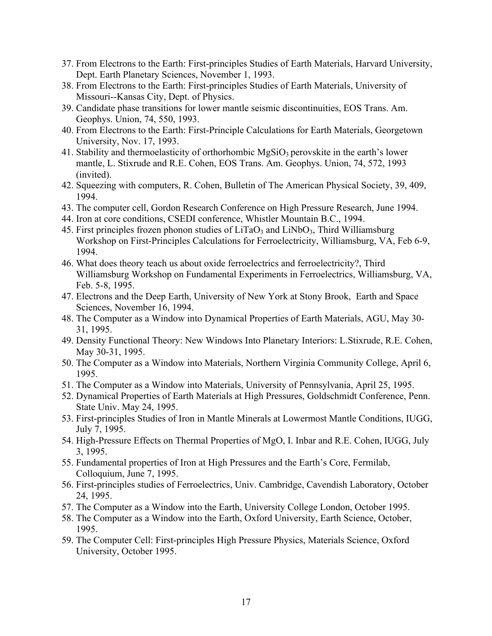- 37. From Electrons to the Earth: First-principles Studies of Earth Materials, Harvard University, Dept. Earth Planetary Sciences, November 1, 1993.
- 38. From Electrons to the Earth: First-principles Studies of Earth Materials, University of Missouri--Kansas City, Dept. of Physics.
- 39. Candidate phase transitions for lower mantle seismic discontinuities, EOS Trans. Am. Geophys. Union, 74, 550, 1993.
- 40. From Electrons to the Earth: First-Principle Calculations for Earth Materials, Georgetown University, Nov. 17, 1993.
- 41. Stability and thermoelasticity of orthorhombic  $MgSiO<sub>3</sub>$  perovskite in the earth's lower mantle, L. Stixrude and R.E. Cohen, EOS Trans. Am. Geophys. Union, 74, 572, 1993 (invited).
- 42. Squeezing with computers, R. Cohen, Bulletin of The American Physical Society, 39, 409, 1994.
- 43. The computer cell, Gordon Research Conference on High Pressure Research, June 1994.
- 44. Iron at core conditions, CSEDI conference, Whistler Mountain B.C., 1994.
- 45. First principles frozen phonon studies of  $LiTaO<sub>3</sub>$  and  $LiNbO<sub>3</sub>$ , Third Williamsburg Workshop on First-Principles Calculations for Ferroelectricity, Williamsburg, VA, Feb 6-9, 1994.
- 46. What does theory teach us about oxide ferroelectrics and ferroelectricity?, Third Williamsburg Workshop on Fundamental Experiments in Ferroelectrics, Williamsburg, VA, Feb. 5-8, 1995.
- 47. Electrons and the Deep Earth, University of New York at Stony Brook, Earth and Space Sciences, November 16, 1994.
- 48. The Computer as a Window into Dynamical Properties of Earth Materials, AGU, May 30- 31, 1995.
- 49. Density Functional Theory: New Windows Into Planetary Interiors: L.Stixrude, R.E. Cohen, May 30-31, 1995.
- 50. The Computer as a Window into Materials, Northern Virginia Community College, April 6, 1995.
- 51. The Computer as a Window into Materials, University of Pennsylvania, April 25, 1995.
- 52. Dynamical Properties of Earth Materials at High Pressures, Goldschmidt Conference, Penn. State Univ. May 24, 1995.
- 53. First-principles Studies of Iron in Mantle Minerals at Lowermost Mantle Conditions, IUGG, July 7, 1995.
- 54. High-Pressure Effects on Thermal Properties of MgO, I. Inbar and R.E. Cohen, IUGG, July 3, 1995.
- 55. Fundamental properties of Iron at High Pressures and the Earth's Core, Fermilab, Colloquium, June 7, 1995.
- 56. First-principles studies of Ferroelectrics, Univ. Cambridge, Cavendish Laboratory, October 24, 1995.
- 57. The Computer as a Window into the Earth, University College London, October 1995.
- 58. The Computer as a Window into the Earth, Oxford University, Earth Science, October, 1995.
- 59. The Computer Cell: First-principles High Pressure Physics, Materials Science, Oxford University, October 1995.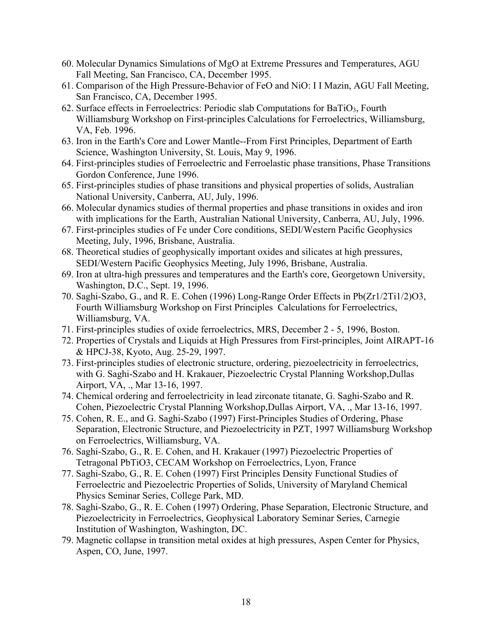- 60. Molecular Dynamics Simulations of MgO at Extreme Pressures and Temperatures, AGU Fall Meeting, San Francisco, CA, December 1995.
- 61. Comparison of the High Pressure-Behavior of FeO and NiO: I I Mazin, AGU Fall Meeting, San Francisco, CA, December 1995.
- 62. Surface effects in Ferroelectrics: Periodic slab Computations for BaTiO<sub>3</sub>, Fourth Williamsburg Workshop on First-principles Calculations for Ferroelectrics, Williamsburg, VA, Feb. 1996.
- 63. Iron in the Earth's Core and Lower Mantle--From First Principles, Department of Earth Science, Washington University, St. Louis, May 9, 1996.
- 64. First-principles studies of Ferroelectric and Ferroelastic phase transitions, Phase Transitions Gordon Conference, June 1996.
- 65. First-principles studies of phase transitions and physical properties of solids, Australian National University, Canberra, AU, July, 1996.
- 66. Molecular dynamics studies of thermal properties and phase transitions in oxides and iron with implications for the Earth, Australian National University, Canberra, AU, July, 1996.
- 67. First-principles studies of Fe under Core conditions, SEDI/Western Pacific Geophysics Meeting, July, 1996, Brisbane, Australia.
- 68. Theoretical studies of geophysically important oxides and silicates at high pressures, SEDI/Western Pacific Geophysics Meeting, July 1996, Brisbane, Australia.
- 69. Iron at ultra-high pressures and temperatures and the Earth's core, Georgetown University, Washington, D.C., Sept. 19, 1996.
- 70. Saghi-Szabo, G., and R. E. Cohen (1996) Long-Range Order Effects in Pb(Zr1/2Ti1/2)O3, Fourth Williamsburg Workshop on First Principles Calculations for Ferroelectrics, Williamsburg, VA.
- 71. First-principles studies of oxide ferroelectrics, MRS, December 2 5, 1996, Boston.
- 72. Properties of Crystals and Liquids at High Pressures from First-principles, Joint AIRAPT-16 & HPCJ-38, Kyoto, Aug. 25-29, 1997.
- 73. First-principles studies of electronic structure, ordering, piezoelectricity in ferroelectrics, with G. Saghi-Szabo and H. Krakauer, Piezoelectric Crystal Planning Workshop,Dullas Airport, VA, ., Mar 13-16, 1997.
- 74. Chemical ordering and ferroelectricity in lead zirconate titanate, G. Saghi-Szabo and R. Cohen, Piezoelectric Crystal Planning Workshop,Dullas Airport, VA, ., Mar 13-16, 1997.
- 75. Cohen, R. E., and G. Saghi-Szabo (1997) First-Principles Studies of Ordering, Phase Separation, Electronic Structure, and Piezoelectricity in PZT, 1997 Williamsburg Workshop on Ferroelectrics, Williamsburg, VA.
- 76. Saghi-Szabo, G., R. E. Cohen, and H. Krakauer (1997) Piezoelectric Properties of Tetragonal PbTiO3, CECAM Workshop on Ferroelectrics, Lyon, France
- 77. Saghi-Szabo, G., R. E. Cohen (1997) First Principles Density Functional Studies of Ferroelectric and Piezoelectric Properties of Solids, University of Maryland Chemical Physics Seminar Series, College Park, MD.
- 78. Saghi-Szabo, G., R. E. Cohen (1997) Ordering, Phase Separation, Electronic Structure, and Piezoelectricity in Ferroelectrics, Geophysical Laboratory Seminar Series, Carnegie Institution of Washington, Washington, DC.
- 79. Magnetic collapse in transition metal oxides at high pressures, Aspen Center for Physics, Aspen, CO, June, 1997.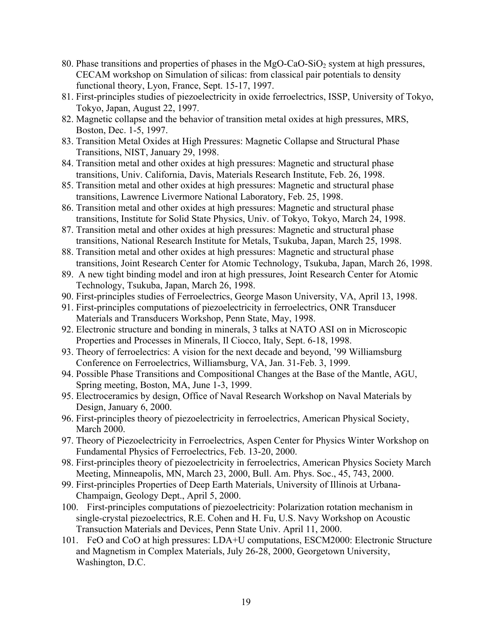- 80. Phase transitions and properties of phases in the  $MgO-CaO-SiO<sub>2</sub>$  system at high pressures, CECAM workshop on Simulation of silicas: from classical pair potentials to density functional theory, Lyon, France, Sept. 15-17, 1997.
- 81. First-principles studies of piezoelectricity in oxide ferroelectrics, ISSP, University of Tokyo, Tokyo, Japan, August 22, 1997.
- 82. Magnetic collapse and the behavior of transition metal oxides at high pressures, MRS, Boston, Dec. 1-5, 1997.
- 83. Transition Metal Oxides at High Pressures: Magnetic Collapse and Structural Phase Transitions, NIST, January 29, 1998.
- 84. Transition metal and other oxides at high pressures: Magnetic and structural phase transitions, Univ. California, Davis, Materials Research Institute, Feb. 26, 1998.
- 85. Transition metal and other oxides at high pressures: Magnetic and structural phase transitions, Lawrence Livermore National Laboratory, Feb. 25, 1998.
- 86. Transition metal and other oxides at high pressures: Magnetic and structural phase transitions, Institute for Solid State Physics, Univ. of Tokyo, Tokyo, March 24, 1998.
- 87. Transition metal and other oxides at high pressures: Magnetic and structural phase transitions, National Research Institute for Metals, Tsukuba, Japan, March 25, 1998.
- 88. Transition metal and other oxides at high pressures: Magnetic and structural phase transitions, Joint Research Center for Atomic Technology, Tsukuba, Japan, March 26, 1998.
- 89. A new tight binding model and iron at high pressures, Joint Research Center for Atomic Technology, Tsukuba, Japan, March 26, 1998.
- 90. First-principles studies of Ferroelectrics, George Mason University, VA, April 13, 1998.
- 91. First-principles computations of piezoelectricity in ferroelectrics, ONR Transducer Materials and Transducers Workshop, Penn State, May, 1998.
- 92. Electronic structure and bonding in minerals, 3 talks at NATO ASI on in Microscopic Properties and Processes in Minerals, Il Ciocco, Italy, Sept. 6-18, 1998.
- 93. Theory of ferroelectrics: A vision for the next decade and beyond, '99 Williamsburg Conference on Ferroelectrics, Williamsburg, VA, Jan. 31-Feb. 3, 1999.
- 94. Possible Phase Transitions and Compositional Changes at the Base of the Mantle, AGU, Spring meeting, Boston, MA, June 1-3, 1999.
- 95. Electroceramics by design, Office of Naval Research Workshop on Naval Materials by Design, January 6, 2000.
- 96. First-principles theory of piezoelectricity in ferroelectrics, American Physical Society, March 2000.
- 97. Theory of Piezoelectricity in Ferroelectrics, Aspen Center for Physics Winter Workshop on Fundamental Physics of Ferroelectrics, Feb. 13-20, 2000.
- 98. First-principles theory of piezoelectricity in ferroelectrics, American Physics Society March Meeting, Minneapolis, MN, March 23, 2000, Bull. Am. Phys. Soc., 45, 743, 2000.
- 99. First-principles Properties of Deep Earth Materials, University of Illinois at Urbana-Champaign, Geology Dept., April 5, 2000.
- 100. First-principles computations of piezoelectricity: Polarization rotation mechanism in single-crystal piezoelectrics, R.E. Cohen and H. Fu, U.S. Navy Workshop on Acoustic Transuction Materials and Devices, Penn State Univ. April 11, 2000.
- 101. FeO and CoO at high pressures: LDA+U computations, ESCM2000: Electronic Structure and Magnetism in Complex Materials, July 26-28, 2000, Georgetown University, Washington, D.C.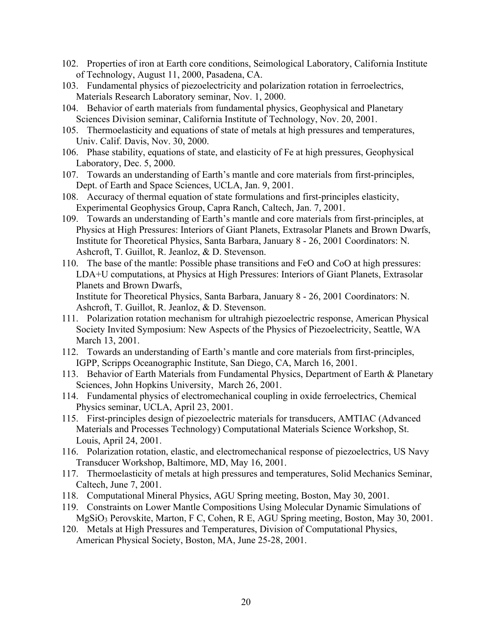- 102. Properties of iron at Earth core conditions, Seimological Laboratory, California Institute of Technology, August 11, 2000, Pasadena, CA.
- 103. Fundamental physics of piezoelectricity and polarization rotation in ferroelectrics, Materials Research Laboratory seminar, Nov. 1, 2000.
- 104. Behavior of earth materials from fundamental physics, Geophysical and Planetary Sciences Division seminar, California Institute of Technology, Nov. 20, 2001.
- 105. Thermoelasticity and equations of state of metals at high pressures and temperatures, Univ. Calif. Davis, Nov. 30, 2000.
- 106. Phase stability, equations of state, and elasticity of Fe at high pressures, Geophysical Laboratory, Dec. 5, 2000.
- 107. Towards an understanding of Earth's mantle and core materials from first-principles, Dept. of Earth and Space Sciences, UCLA, Jan. 9, 2001.
- 108. Accuracy of thermal equation of state formulations and first-principles elasticity, Experimental Geophysics Group, Capra Ranch, Caltech, Jan. 7, 2001.
- 109. Towards an understanding of Earth's mantle and core materials from first-principles, at Physics at High Pressures: Interiors of Giant Planets, Extrasolar Planets and Brown Dwarfs, Institute for Theoretical Physics, Santa Barbara, January 8 - 26, 2001 Coordinators: N. Ashcroft, T. Guillot, R. Jeanloz, & D. Stevenson.
- 110. The base of the mantle: Possible phase transitions and FeO and CoO at high pressures: LDA+U computations, at Physics at High Pressures: Interiors of Giant Planets, Extrasolar Planets and Brown Dwarfs,

Institute for Theoretical Physics, Santa Barbara, January 8 - 26, 2001 Coordinators: N. Ashcroft, T. Guillot, R. Jeanloz, & D. Stevenson.

- 111. Polarization rotation mechanism for ultrahigh piezoelectric response, American Physical Society Invited Symposium: New Aspects of the Physics of Piezoelectricity, Seattle, WA March 13, 2001.
- 112. Towards an understanding of Earth's mantle and core materials from first-principles, IGPP, Scripps Oceanographic Institute, San Diego, CA, March 16, 2001.
- 113. Behavior of Earth Materials from Fundamental Physics, Department of Earth & Planetary Sciences, John Hopkins University, March 26, 2001.
- 114. Fundamental physics of electromechanical coupling in oxide ferroelectrics, Chemical Physics seminar, UCLA, April 23, 2001.
- 115. First-principles design of piezoelectric materials for transducers, AMTIAC (Advanced Materials and Processes Technology) Computational Materials Science Workshop, St. Louis, April 24, 2001.
- 116. Polarization rotation, elastic, and electromechanical response of piezoelectrics, US Navy Transducer Workshop, Baltimore, MD, May 16, 2001.
- 117. Thermoelasticity of metals at high pressures and temperatures, Solid Mechanics Seminar, Caltech, June 7, 2001.
- 118. Computational Mineral Physics, AGU Spring meeting, Boston, May 30, 2001.
- 119. Constraints on Lower Mantle Compositions Using Molecular Dynamic Simulations of MgSiO3 Perovskite, Marton, F C, Cohen, R E, AGU Spring meeting, Boston, May 30, 2001.
- 120. Metals at High Pressures and Temperatures, Division of Computational Physics, American Physical Society, Boston, MA, June 25-28, 2001.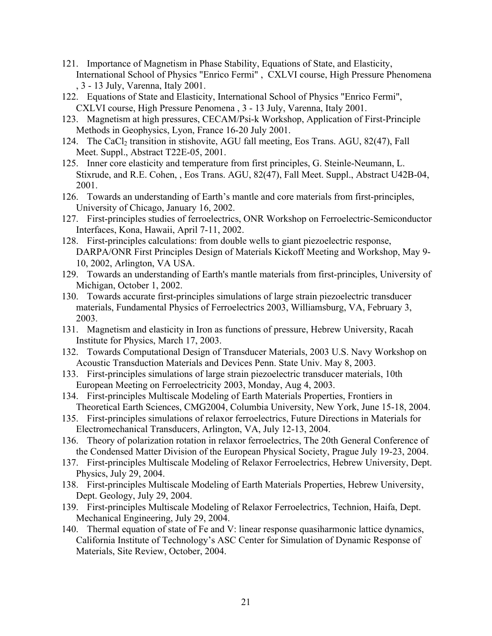- 121. Importance of Magnetism in Phase Stability, Equations of State, and Elasticity, International School of Physics "Enrico Fermi" , CXLVI course, High Pressure Phenomena , 3 - 13 July, Varenna, Italy 2001.
- 122. Equations of State and Elasticity, International School of Physics "Enrico Fermi", CXLVI course, High Pressure Penomena , 3 - 13 July, Varenna, Italy 2001.
- 123. Magnetism at high pressures, CECAM/Psi-k Workshop, Application of First-Principle Methods in Geophysics, Lyon, France 16-20 July 2001.
- 124. The CaCl<sub>2</sub> transition in stishovite, AGU fall meeting, Eos Trans. AGU, 82(47), Fall Meet. Suppl., Abstract T22E-05, 2001.
- 125. Inner core elasticity and temperature from first principles, G. Steinle-Neumann, L. Stixrude, and R.E. Cohen, , Eos Trans. AGU, 82(47), Fall Meet. Suppl., Abstract U42B-04, 2001.
- 126. Towards an understanding of Earth's mantle and core materials from first-principles, University of Chicago, January 16, 2002.
- 127. First-principles studies of ferroelectrics, ONR Workshop on Ferroelectric-Semiconductor Interfaces, Kona, Hawaii, April 7-11, 2002.
- 128. First-principles calculations: from double wells to giant piezoelectric response, DARPA/ONR First Principles Design of Materials Kickoff Meeting and Workshop, May 9- 10, 2002, Arlington, VA USA.
- 129. Towards an understanding of Earth's mantle materials from first-principles, University of Michigan, October 1, 2002.
- 130. Towards accurate first-principles simulations of large strain piezoelectric transducer materials, Fundamental Physics of Ferroelectrics 2003, Williamsburg, VA, February 3, 2003.
- 131. Magnetism and elasticity in Iron as functions of pressure, Hebrew University, Racah Institute for Physics, March 17, 2003.
- 132. Towards Computational Design of Transducer Materials, 2003 U.S. Navy Workshop on Acoustic Transduction Materials and Devices Penn. State Univ. May 8, 2003.
- 133. First-principles simulations of large strain piezoelectric transducer materials, 10th European Meeting on Ferroelectricity 2003, Monday, Aug 4, 2003.
- 134. First-principles Multiscale Modeling of Earth Materials Properties, Frontiers in Theoretical Earth Sciences, CMG2004, Columbia University, New York, June 15-18, 2004.
- 135. First-principles simulations of relaxor ferroelectrics, Future Directions in Materials for Electromechanical Transducers, Arlington, VA, July 12-13, 2004.
- 136. Theory of polarization rotation in relaxor ferroelectrics, The 20th General Conference of the Condensed Matter Division of the European Physical Society, Prague July 19-23, 2004.
- 137. First-principles Multiscale Modeling of Relaxor Ferroelectrics, Hebrew University, Dept. Physics, July 29, 2004.
- 138. First-principles Multiscale Modeling of Earth Materials Properties, Hebrew University, Dept. Geology, July 29, 2004.
- 139. First-principles Multiscale Modeling of Relaxor Ferroelectrics, Technion, Haifa, Dept. Mechanical Engineering, July 29, 2004.
- 140. Thermal equation of state of Fe and V: linear response quasiharmonic lattice dynamics, California Institute of Technology's ASC Center for Simulation of Dynamic Response of Materials, Site Review, October, 2004.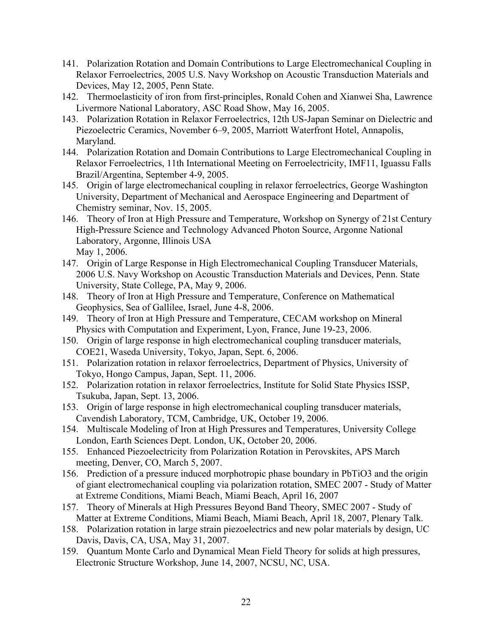- 141. Polarization Rotation and Domain Contributions to Large Electromechanical Coupling in Relaxor Ferroelectrics, 2005 U.S. Navy Workshop on Acoustic Transduction Materials and Devices, May 12, 2005, Penn State.
- 142. Thermoelasticity of iron from first-principles, Ronald Cohen and Xianwei Sha, Lawrence Livermore National Laboratory, ASC Road Show, May 16, 2005.
- 143. Polarization Rotation in Relaxor Ferroelectrics, 12th US-Japan Seminar on Dielectric and Piezoelectric Ceramics, November 6–9, 2005, Marriott Waterfront Hotel, Annapolis, Maryland.
- 144. Polarization Rotation and Domain Contributions to Large Electromechanical Coupling in Relaxor Ferroelectrics, 11th International Meeting on Ferroelectricity, IMF11, Iguassu Falls Brazil/Argentina, September 4-9, 2005.
- 145. Origin of large electromechanical coupling in relaxor ferroelectrics, George Washington University, Department of Mechanical and Aerospace Engineering and Department of Chemistry seminar, Nov. 15, 2005.
- 146. Theory of Iron at High Pressure and Temperature, Workshop on Synergy of 21st Century High-Pressure Science and Technology Advanced Photon Source, Argonne National Laboratory, Argonne, Illinois USA May 1, 2006.
- 147. Origin of Large Response in High Electromechanical Coupling Transducer Materials, 2006 U.S. Navy Workshop on Acoustic Transduction Materials and Devices, Penn. State University, State College, PA, May 9, 2006.
- 148. Theory of Iron at High Pressure and Temperature, Conference on Mathematical Geophysics, Sea of Gallilee, Israel, June 4-8, 2006.
- 149. Theory of Iron at High Pressure and Temperature, CECAM workshop on Mineral Physics with Computation and Experiment, Lyon, France, June 19-23, 2006.
- 150. Origin of large response in high electromechanical coupling transducer materials, COE21, Waseda University, Tokyo, Japan, Sept. 6, 2006.
- 151. Polarization rotation in relaxor ferroelectrics, Department of Physics, University of Tokyo, Hongo Campus, Japan, Sept. 11, 2006.
- 152. Polarization rotation in relaxor ferroelectrics, Institute for Solid State Physics ISSP, Tsukuba, Japan, Sept. 13, 2006.
- 153. Origin of large response in high electromechanical coupling transducer materials, Cavendish Laboratory, TCM, Cambridge, UK, October 19, 2006.
- 154. Multiscale Modeling of Iron at High Pressures and Temperatures, University College London, Earth Sciences Dept. London, UK, October 20, 2006.
- 155. Enhanced Piezoelectricity from Polarization Rotation in Perovskites, APS March meeting, Denver, CO, March 5, 2007.
- 156. Prediction of a pressure induced morphotropic phase boundary in PbTiO3 and the origin of giant electromechanical coupling via polarization rotation, SMEC 2007 - Study of Matter at Extreme Conditions, Miami Beach, Miami Beach, April 16, 2007
- 157. Theory of Minerals at High Pressures Beyond Band Theory, SMEC 2007 Study of Matter at Extreme Conditions, Miami Beach, Miami Beach, April 18, 2007, Plenary Talk.
- 158. Polarization rotation in large strain piezoelectrics and new polar materials by design, UC Davis, Davis, CA, USA, May 31, 2007.
- 159. Quantum Monte Carlo and Dynamical Mean Field Theory for solids at high pressures, Electronic Structure Workshop, June 14, 2007, NCSU, NC, USA.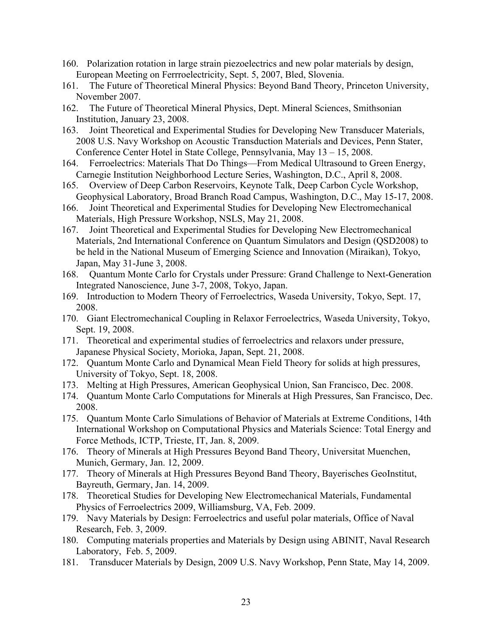- 160. Polarization rotation in large strain piezoelectrics and new polar materials by design, European Meeting on Ferrroelectricity, Sept. 5, 2007, Bled, Slovenia.
- 161. The Future of Theoretical Mineral Physics: Beyond Band Theory, Princeton University, November 2007.
- 162. The Future of Theoretical Mineral Physics, Dept. Mineral Sciences, Smithsonian Institution, January 23, 2008.
- 163. Joint Theoretical and Experimental Studies for Developing New Transducer Materials, 2008 U.S. Navy Workshop on Acoustic Transduction Materials and Devices, Penn Stater, Conference Center Hotel in State College, Pennsylvania, May 13 – 15, 2008.
- 164. Ferroelectrics: Materials That Do Things—From Medical Ultrasound to Green Energy, Carnegie Institution Neighborhood Lecture Series, Washington, D.C., April 8, 2008.
- 165. Overview of Deep Carbon Reservoirs, Keynote Talk, Deep Carbon Cycle Workshop, Geophysical Laboratory, Broad Branch Road Campus, Washington, D.C., May 15-17, 2008.
- 166. Joint Theoretical and Experimental Studies for Developing New Electromechanical Materials, High Pressure Workshop, NSLS, May 21, 2008.
- 167. Joint Theoretical and Experimental Studies for Developing New Electromechanical Materials, 2nd International Conference on Quantum Simulators and Design (QSD2008) to be held in the National Museum of Emerging Science and Innovation (Miraikan), Tokyo, Japan, May 31-June 3, 2008.
- 168. Quantum Monte Carlo for Crystals under Pressure: Grand Challenge to Next-Generation Integrated Nanoscience, June 3-7, 2008, Tokyo, Japan.
- 169. Introduction to Modern Theory of Ferroelectrics, Waseda University, Tokyo, Sept. 17, 2008.
- 170. Giant Electromechanical Coupling in Relaxor Ferroelectrics, Waseda University, Tokyo, Sept. 19, 2008.
- 171. Theoretical and experimental studies of ferroelectrics and relaxors under pressure, Japanese Physical Society, Morioka, Japan, Sept. 21, 2008.
- 172. Quantum Monte Carlo and Dynamical Mean Field Theory for solids at high pressures, University of Tokyo, Sept. 18, 2008.
- 173. Melting at High Pressures, American Geophysical Union, San Francisco, Dec. 2008.
- 174. Quantum Monte Carlo Computations for Minerals at High Pressures, San Francisco, Dec. 2008.
- 175. Quantum Monte Carlo Simulations of Behavior of Materials at Extreme Conditions, 14th International Workshop on Computational Physics and Materials Science: Total Energy and Force Methods, ICTP, Trieste, IT, Jan. 8, 2009.
- 176. Theory of Minerals at High Pressures Beyond Band Theory, Universitat Muenchen, Munich, Germary, Jan. 12, 2009.
- 177. Theory of Minerals at High Pressures Beyond Band Theory, Bayerisches GeoInstitut, Bayreuth, Germary, Jan. 14, 2009.
- 178. Theoretical Studies for Developing New Electromechanical Materials, Fundamental Physics of Ferroelectrics 2009, Williamsburg, VA, Feb. 2009.
- 179. Navy Materials by Design: Ferroelectrics and useful polar materials, Office of Naval Research, Feb. 3, 2009.
- 180. Computing materials properties and Materials by Design using ABINIT, Naval Research Laboratory, Feb. 5, 2009.
- 181. Transducer Materials by Design, 2009 U.S. Navy Workshop, Penn State, May 14, 2009.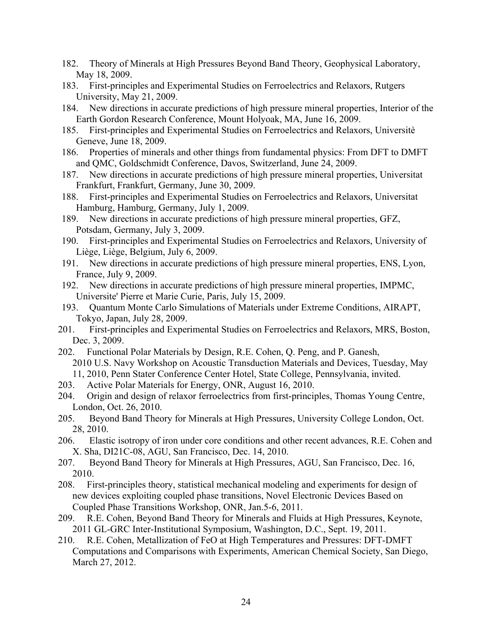- 182. Theory of Minerals at High Pressures Beyond Band Theory, Geophysical Laboratory, May 18, 2009.
- 183. First-principles and Experimental Studies on Ferroelectrics and Relaxors, Rutgers University, May 21, 2009.
- 184. New directions in accurate predictions of high pressure mineral properties, Interior of the Earth Gordon Research Conference, Mount Holyoak, MA, June 16, 2009.
- 185. First-principles and Experimental Studies on Ferroelectrics and Relaxors, Universitè Geneve, June 18, 2009.
- 186. Properties of minerals and other things from fundamental physics: From DFT to DMFT and QMC, Goldschmidt Conference, Davos, Switzerland, June 24, 2009.
- 187. New directions in accurate predictions of high pressure mineral properties, Universitat Frankfurt, Frankfurt, Germany, June 30, 2009.
- 188. First-principles and Experimental Studies on Ferroelectrics and Relaxors, Universitat Hamburg, Hamburg, Germany, July 1, 2009.
- 189. New directions in accurate predictions of high pressure mineral properties, GFZ, Potsdam, Germany, July 3, 2009.
- 190. First-principles and Experimental Studies on Ferroelectrics and Relaxors, University of Liège, Liège, Belgium, July 6, 2009.
- 191. New directions in accurate predictions of high pressure mineral properties, ENS, Lyon, France, July 9, 2009.
- 192. New directions in accurate predictions of high pressure mineral properties, IMPMC, Universite' Pierre et Marie Curie, Paris, July 15, 2009.
- 193. Quantum Monte Carlo Simulations of Materials under Extreme Conditions, AIRAPT, Tokyo, Japan, July 28, 2009.
- 201. First-principles and Experimental Studies on Ferroelectrics and Relaxors, MRS, Boston, Dec. 3, 2009.
- 202. Functional Polar Materials by Design, R.E. Cohen, Q. Peng, and P. Ganesh, 2010 U.S. Navy Workshop on Acoustic Transduction Materials and Devices, Tuesday, May 11, 2010, Penn Stater Conference Center Hotel, State College, Pennsylvania, invited.
- 203. Active Polar Materials for Energy, ONR, August 16, 2010.
- 204. Origin and design of relaxor ferroelectrics from first-principles, Thomas Young Centre, London, Oct. 26, 2010.
- 205. Beyond Band Theory for Minerals at High Pressures, University College London, Oct. 28, 2010.
- 206. Elastic isotropy of iron under core conditions and other recent advances, R.E. Cohen and X. Sha, DI21C-08, AGU, San Francisco, Dec. 14, 2010.
- 207. Beyond Band Theory for Minerals at High Pressures, AGU, San Francisco, Dec. 16, 2010.
- 208. First-principles theory, statistical mechanical modeling and experiments for design of new devices exploiting coupled phase transitions, Novel Electronic Devices Based on Coupled Phase Transitions Workshop, ONR, Jan.5-6, 2011.
- 209. R.E. Cohen, Beyond Band Theory for Minerals and Fluids at High Pressures, Keynote, 2011 GL-GRC Inter-Institutional Symposium, Washington, D.C., Sept. 19, 2011.
- 210. R.E. Cohen, Metallization of FeO at High Temperatures and Pressures: DFT-DMFT Computations and Comparisons with Experiments, American Chemical Society, San Diego, March 27, 2012.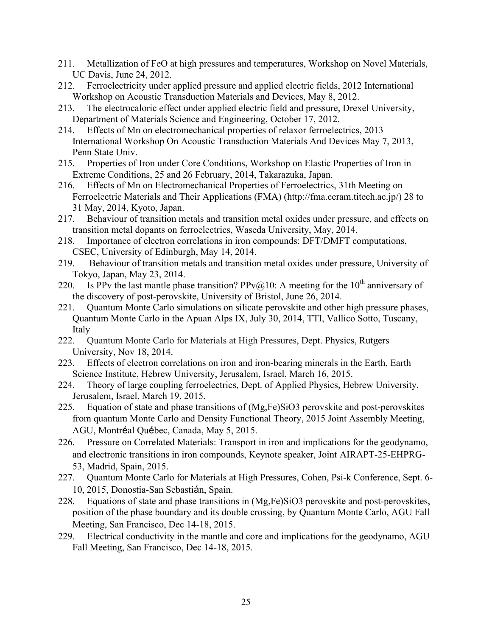- 211. Metallization of FeO at high pressures and temperatures, Workshop on Novel Materials, UC Davis, June 24, 2012.
- 212. Ferroelectricity under applied pressure and applied electric fields, 2012 International Workshop on Acoustic Transduction Materials and Devices, May 8, 2012.
- 213. The electrocaloric effect under applied electric field and pressure, Drexel University, Department of Materials Science and Engineering, October 17, 2012.
- 214. Effects of Mn on electromechanical properties of relaxor ferroelectrics, 2013 International Workshop On Acoustic Transduction Materials And Devices May 7, 2013, Penn State Univ.
- 215. Properties of Iron under Core Conditions, Workshop on Elastic Properties of Iron in Extreme Conditions, 25 and 26 February, 2014, Takarazuka, Japan.
- 216. Effects of Mn on Electromechanical Properties of Ferroelectrics, 31th Meeting on Ferroelectric Materials and Their Applications (FMA) (http://fma.ceram.titech.ac.jp/) 28 to 31 May, 2014, Kyoto, Japan.
- 217. Behaviour of transition metals and transition metal oxides under pressure, and effects on transition metal dopants on ferroelectrics, Waseda University, May, 2014.
- 218. Importance of electron correlations in iron compounds: DFT/DMFT computations, CSEC, University of Edinburgh, May 14, 2014.
- 219. Behaviour of transition metals and transition metal oxides under pressure, University of Tokyo, Japan, May 23, 2014.
- 220. Is PPv the last mantle phase transition? PPv@10: A meeting for the 10<sup>th</sup> anniversary of the discovery of post-perovskite, University of Bristol, June 26, 2014.
- 221. Quantum Monte Carlo simulations on silicate perovskite and other high pressure phases, Quantum Monte Carlo in the Apuan Alps IX, July 30, 2014, TTI, Vallico Sotto, Tuscany, Italy
- 222. Quantum Monte Carlo for Materials at High Pressures, Dept. Physics, Rutgers University, Nov 18, 2014.
- 223. Effects of electron correlations on iron and iron-bearing minerals in the Earth, Earth Science Institute, Hebrew University, Jerusalem, Israel, March 16, 2015.
- 224. Theory of large coupling ferroelectrics, Dept. of Applied Physics, Hebrew University, Jerusalem, Israel, March 19, 2015.
- 225. Equation of state and phase transitions of (Mg,Fe)SiO3 perovskite and post-perovskites from quantum Monte Carlo and Density Functional Theory, 2015 Joint Assembly Meeting, AGU, Montréal Québec, Canada, May 5, 2015.
- 226. Pressure on Correlated Materials: Transport in iron and implications for the geodynamo, and electronic transitions in iron compounds, Keynote speaker, Joint AIRAPT-25-EHPRG-53, Madrid, Spain, 2015.
- 227. Quantum Monte Carlo for Materials at High Pressures, Cohen, Psi-k Conference, Sept. 6- 10, 2015, Donostia-San Sebastián, Spain.
- 228. Equations of state and phase transitions in (Mg,Fe)SiO3 perovskite and post-perovskites, position of the phase boundary and its double crossing, by Quantum Monte Carlo, AGU Fall Meeting, San Francisco, Dec 14-18, 2015.
- 229. Electrical conductivity in the mantle and core and implications for the geodynamo, AGU Fall Meeting, San Francisco, Dec 14-18, 2015.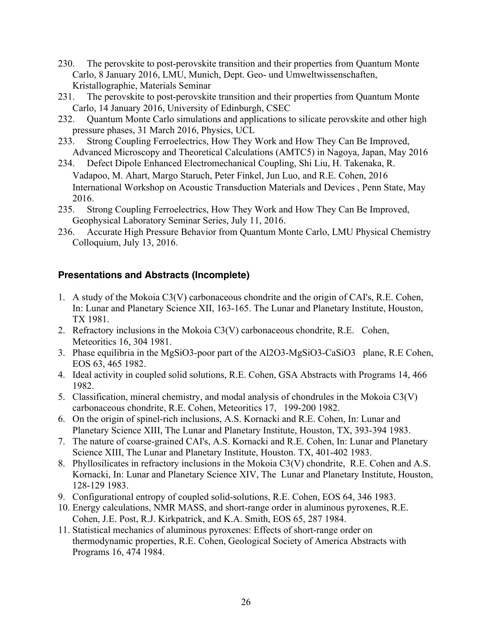- 230. The perovskite to post-perovskite transition and their properties from Quantum Monte Carlo, 8 January 2016, LMU, Munich, Dept. Geo- und Umweltwissenschaften, Kristallographie, Materials Seminar
- 231. The perovskite to post-perovskite transition and their properties from Quantum Monte Carlo, 14 January 2016, University of Edinburgh, CSEC
- 232. Quantum Monte Carlo simulations and applications to silicate perovskite and other high pressure phases, 31 March 2016, Physics, UCL
- 233. Strong Coupling Ferroelectrics, How They Work and How They Can Be Improved, Advanced Microscopy and Theoretical Calculations (AMTC5) in Nagoya, Japan, May 2016
- 234. Defect Dipole Enhanced Electromechanical Coupling, Shi Liu, H. Takenaka, R. Vadapoo, M. Ahart, Margo Staruch, Peter Finkel, Jun Luo, and R.E. Cohen, 2016 International Workshop on Acoustic Transduction Materials and Devices , Penn State, May 2016.
- 235. Strong Coupling Ferroelectrics, How They Work and How They Can Be Improved, Geophysical Laboratory Seminar Series, July 11, 2016.
- 236. Accurate High Pressure Behavior from Quantum Monte Carlo, LMU Physical Chemistry Colloquium, July 13, 2016.

## **Presentations and Abstracts (Incomplete)**

- 1. A study of the Mokoia C3(V) carbonaceous chondrite and the origin of CAI's, R.E. Cohen, In: Lunar and Planetary Science XII, 163-165. The Lunar and Planetary Institute, Houston, TX 1981.
- 2. Refractory inclusions in the Mokoia C3(V) carbonaceous chondrite, R.E. Cohen, Meteoritics 16, 304 1981.
- 3. Phase equilibria in the MgSiO3-poor part of the Al2O3-MgSiO3-CaSiO3 plane, R.E Cohen, EOS 63, 465 1982.
- 4. Ideal activity in coupled solid solutions, R.E. Cohen, GSA Abstracts with Programs 14, 466 1982.
- 5. Classification, mineral chemistry, and modal analysis of chondrules in the Mokoia C3(V) carbonaceous chondrite, R.E. Cohen, Meteoritics 17, 199-200 1982.
- 6. On the origin of spinel-rich inclusions, A.S. Kornacki and R.E. Cohen, In: Lunar and Planetary Science XIII, The Lunar and Planetary Institute, Houston, TX, 393-394 1983.
- 7. The nature of coarse-grained CAI's, A.S. Kornacki and R.E. Cohen, In: Lunar and Planetary Science XIII, The Lunar and Planetary Institute, Houston. TX, 401-402 1983.
- 8. Phyllosilicates in refractory inclusions in the Mokoia C3(V) chondrite, R.E. Cohen and A.S. Kornacki, In: Lunar and Planetary Science XIV, The Lunar and Planetary Institute, Houston, 128-129 1983.
- 9. Configurational entropy of coupled solid-solutions, R.E. Cohen, EOS 64, 346 1983.
- 10. Energy calculations, NMR MASS, and short-range order in aluminous pyroxenes, R.E. Cohen, J.E. Post, R.J. Kirkpatrick, and K.A. Smith, EOS 65, 287 1984.
- 11. Statistical mechanics of aluminous pyroxenes: Effects of short-range order on thermodynamic properties, R.E. Cohen, Geological Society of America Abstracts with Programs 16, 474 1984.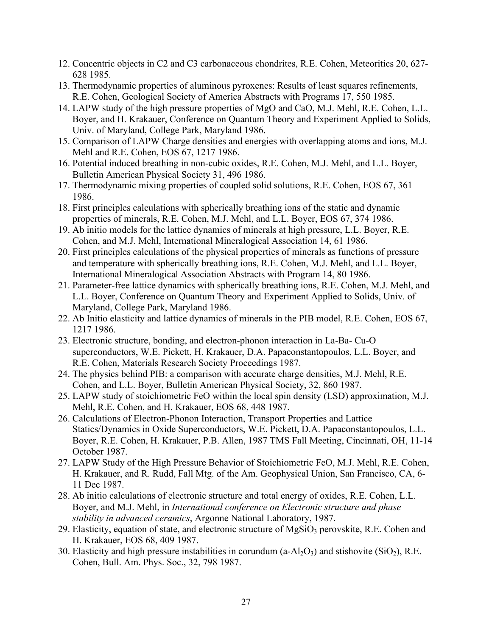- 12. Concentric objects in C2 and C3 carbonaceous chondrites, R.E. Cohen, Meteoritics 20, 627- 628 1985.
- 13. Thermodynamic properties of aluminous pyroxenes: Results of least squares refinements, R.E. Cohen, Geological Society of America Abstracts with Programs 17, 550 1985.
- 14. LAPW study of the high pressure properties of MgO and CaO, M.J. Mehl, R.E. Cohen, L.L. Boyer, and H. Krakauer, Conference on Quantum Theory and Experiment Applied to Solids, Univ. of Maryland, College Park, Maryland 1986.
- 15. Comparison of LAPW Charge densities and energies with overlapping atoms and ions, M.J. Mehl and R.E. Cohen, EOS 67, 1217 1986.
- 16. Potential induced breathing in non-cubic oxides, R.E. Cohen, M.J. Mehl, and L.L. Boyer, Bulletin American Physical Society 31, 496 1986.
- 17. Thermodynamic mixing properties of coupled solid solutions, R.E. Cohen, EOS 67, 361 1986.
- 18. First principles calculations with spherically breathing ions of the static and dynamic properties of minerals, R.E. Cohen, M.J. Mehl, and L.L. Boyer, EOS 67, 374 1986.
- 19. Ab initio models for the lattice dynamics of minerals at high pressure, L.L. Boyer, R.E. Cohen, and M.J. Mehl, International Mineralogical Association 14, 61 1986.
- 20. First principles calculations of the physical properties of minerals as functions of pressure and temperature with spherically breathing ions, R.E. Cohen, M.J. Mehl, and L.L. Boyer, International Mineralogical Association Abstracts with Program 14, 80 1986.
- 21. Parameter-free lattice dynamics with spherically breathing ions, R.E. Cohen, M.J. Mehl, and L.L. Boyer, Conference on Quantum Theory and Experiment Applied to Solids, Univ. of Maryland, College Park, Maryland 1986.
- 22. Ab Initio elasticity and lattice dynamics of minerals in the PIB model, R.E. Cohen, EOS 67, 1217 1986.
- 23. Electronic structure, bonding, and electron-phonon interaction in La-Ba- Cu-O superconductors, W.E. Pickett, H. Krakauer, D.A. Papaconstantopoulos, L.L. Boyer, and R.E. Cohen, Materials Research Society Proceedings 1987.
- 24. The physics behind PIB: a comparison with accurate charge densities, M.J. Mehl, R.E. Cohen, and L.L. Boyer, Bulletin American Physical Society, 32, 860 1987.
- 25. LAPW study of stoichiometric FeO within the local spin density (LSD) approximation, M.J. Mehl, R.E. Cohen, and H. Krakauer, EOS 68, 448 1987.
- 26. Calculations of Electron-Phonon Interaction, Transport Properties and Lattice Statics/Dynamics in Oxide Superconductors, W.E. Pickett, D.A. Papaconstantopoulos, L.L. Boyer, R.E. Cohen, H. Krakauer, P.B. Allen, 1987 TMS Fall Meeting, Cincinnati, OH, 11-14 October 1987.
- 27. LAPW Study of the High Pressure Behavior of Stoichiometric FeO, M.J. Mehl, R.E. Cohen, H. Krakauer, and R. Rudd, Fall Mtg. of the Am. Geophysical Union, San Francisco, CA, 6- 11 Dec 1987.
- 28. Ab initio calculations of electronic structure and total energy of oxides, R.E. Cohen, L.L. Boyer, and M.J. Mehl, in *International conference on Electronic structure and phase stability in advanced ceramics*, Argonne National Laboratory, 1987.
- 29. Elasticity, equation of state, and electronic structure of  $MgSiO<sub>3</sub>$  perovskite, R.E. Cohen and H. Krakauer, EOS 68, 409 1987.
- 30. Elasticity and high pressure instabilities in corundum  $(a-Al<sub>2</sub>O<sub>3</sub>)$  and stishovite (SiO<sub>2</sub>), R.E. Cohen, Bull. Am. Phys. Soc., 32, 798 1987.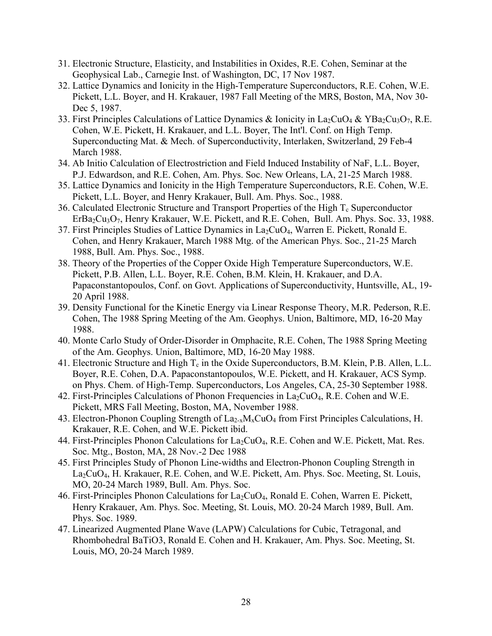- 31. Electronic Structure, Elasticity, and Instabilities in Oxides, R.E. Cohen, Seminar at the Geophysical Lab., Carnegie Inst. of Washington, DC, 17 Nov 1987.
- 32. Lattice Dynamics and Ionicity in the High-Temperature Superconductors, R.E. Cohen, W.E. Pickett, L.L. Boyer, and H. Krakauer, 1987 Fall Meeting of the MRS, Boston, MA, Nov 30- Dec 5, 1987.
- 33. First Principles Calculations of Lattice Dynamics & Ionicity in La<sub>2</sub>CuO<sub>4</sub> & YBa<sub>2</sub>Cu<sub>3</sub>O<sub>7</sub>, R.E. Cohen, W.E. Pickett, H. Krakauer, and L.L. Boyer, The Int'l. Conf. on High Temp. Superconducting Mat. & Mech. of Superconductivity, Interlaken, Switzerland, 29 Feb-4 March 1988.
- 34. Ab Initio Calculation of Electrostriction and Field Induced Instability of NaF, L.L. Boyer, P.J. Edwardson, and R.E. Cohen, Am. Phys. Soc. New Orleans, LA, 21-25 March 1988.
- 35. Lattice Dynamics and Ionicity in the High Temperature Superconductors, R.E. Cohen, W.E. Pickett, L.L. Boyer, and Henry Krakauer, Bull. Am. Phys. Soc., 1988.
- 36. Calculated Electronic Structure and Transport Properties of the High  $T_c$  Superconductor ErBa<sub>2</sub>Cu<sub>3</sub>O<sub>7</sub>, Henry Krakauer, W.E. Pickett, and R.E. Cohen, Bull. Am. Phys. Soc. 33, 1988.
- 37. First Principles Studies of Lattice Dynamics in  $La_2CuO<sub>4</sub>$ , Warren E. Pickett, Ronald E. Cohen, and Henry Krakauer, March 1988 Mtg. of the American Phys. Soc., 21-25 March 1988, Bull. Am. Phys. Soc., 1988.
- 38. Theory of the Properties of the Copper Oxide High Temperature Superconductors, W.E. Pickett, P.B. Allen, L.L. Boyer, R.E. Cohen, B.M. Klein, H. Krakauer, and D.A. Papaconstantopoulos, Conf. on Govt. Applications of Superconductivity, Huntsville, AL, 19- 20 April 1988.
- 39. Density Functional for the Kinetic Energy via Linear Response Theory, M.R. Pederson, R.E. Cohen, The 1988 Spring Meeting of the Am. Geophys. Union, Baltimore, MD, 16-20 May 1988.
- 40. Monte Carlo Study of Order-Disorder in Omphacite, R.E. Cohen, The 1988 Spring Meeting of the Am. Geophys. Union, Baltimore, MD, 16-20 May 1988.
- 41. Electronic Structure and High  $T_c$  in the Oxide Superconductors, B.M. Klein, P.B. Allen, L.L. Boyer, R.E. Cohen, D.A. Papaconstantopoulos, W.E. Pickett, and H. Krakauer, ACS Symp. on Phys. Chem. of High-Temp. Superconductors, Los Angeles, CA, 25-30 September 1988.
- 42. First-Principles Calculations of Phonon Frequencies in  $La_2CuO<sub>4</sub>$ , R.E. Cohen and W.E. Pickett, MRS Fall Meeting, Boston, MA, November 1988.
- 43. Electron-Phonon Coupling Strength of  $La_{2-x}M_xCuO_4$  from First Principles Calculations, H. Krakauer, R.E. Cohen, and W.E. Pickett ibid.
- 44. First-Principles Phonon Calculations for  $La_2CuO_4$ , R.E. Cohen and W.E. Pickett, Mat. Res. Soc. Mtg., Boston, MA, 28 Nov.-2 Dec 1988
- 45. First Principles Study of Phonon Line-widths and Electron-Phonon Coupling Strength in La<sub>2</sub>CuO<sub>4</sub>, H. Krakauer, R.E. Cohen, and W.E. Pickett, Am. Phys. Soc. Meeting, St. Louis, MO, 20-24 March 1989, Bull. Am. Phys. Soc.
- 46. First-Principles Phonon Calculations for  $La_2CuO<sub>4</sub>$ , Ronald E. Cohen, Warren E. Pickett, Henry Krakauer, Am. Phys. Soc. Meeting, St. Louis, MO. 20-24 March 1989, Bull. Am. Phys. Soc. 1989.
- 47. Linearized Augmented Plane Wave (LAPW) Calculations for Cubic, Tetragonal, and Rhombohedral BaTiO3, Ronald E. Cohen and H. Krakauer, Am. Phys. Soc. Meeting, St. Louis, MO, 20-24 March 1989.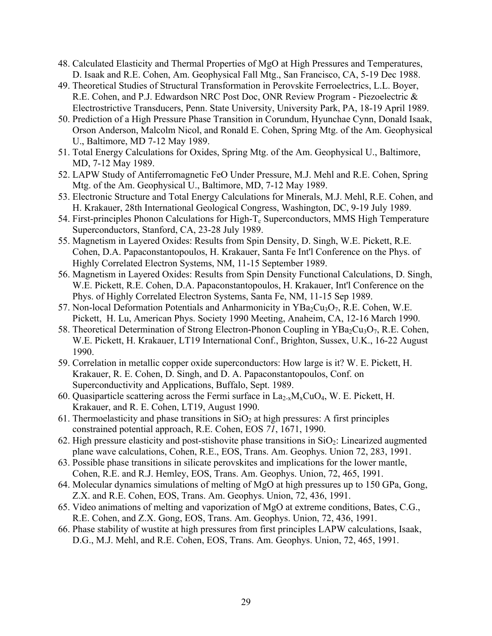- 48. Calculated Elasticity and Thermal Properties of MgO at High Pressures and Temperatures, D. Isaak and R.E. Cohen, Am. Geophysical Fall Mtg., San Francisco, CA, 5-19 Dec 1988.
- 49. Theoretical Studies of Structural Transformation in Perovskite Ferroelectrics, L.L. Boyer, R.E. Cohen, and P.J. Edwardson NRC Post Doc, ONR Review Program - Piezoelectric & Electrostrictive Transducers, Penn. State University, University Park, PA, 18-19 April 1989.
- 50. Prediction of a High Pressure Phase Transition in Corundum, Hyunchae Cynn, Donald Isaak, Orson Anderson, Malcolm Nicol, and Ronald E. Cohen, Spring Mtg. of the Am. Geophysical U., Baltimore, MD 7-12 May 1989.
- 51. Total Energy Calculations for Oxides, Spring Mtg. of the Am. Geophysical U., Baltimore, MD, 7-12 May 1989.
- 52. LAPW Study of Antiferromagnetic FeO Under Pressure, M.J. Mehl and R.E. Cohen, Spring Mtg. of the Am. Geophysical U., Baltimore, MD, 7-12 May 1989.
- 53. Electronic Structure and Total Energy Calculations for Minerals, M.J. Mehl, R.E. Cohen, and H. Krakauer, 28th International Geological Congress, Washington, DC, 9-19 July 1989.
- 54. First-principles Phonon Calculations for High- $T_c$  Superconductors, MMS High Temperature Superconductors, Stanford, CA, 23-28 July 1989.
- 55. Magnetism in Layered Oxides: Results from Spin Density, D. Singh, W.E. Pickett, R.E. Cohen, D.A. Papaconstantopoulos, H. Krakauer, Santa Fe Int'l Conference on the Phys. of Highly Correlated Electron Systems, NM, 11-15 September 1989.
- 56. Magnetism in Layered Oxides: Results from Spin Density Functional Calculations, D. Singh, W.E. Pickett, R.E. Cohen, D.A. Papaconstantopoulos, H. Krakauer, Int'l Conference on the Phys. of Highly Correlated Electron Systems, Santa Fe, NM, 11-15 Sep 1989.
- 57. Non-local Deformation Potentials and Anharmonicity in  $YBa<sub>2</sub>Cu<sub>3</sub>O<sub>7</sub>$ , R.E. Cohen, W.E. Pickett, H. Lu, American Phys. Society 1990 Meeting, Anaheim, CA, 12-16 March 1990.
- 58. Theoretical Determination of Strong Electron-Phonon Coupling in  $YBa_2Cu_3O_7$ , R.E. Cohen, W.E. Pickett, H. Krakauer, LT19 International Conf., Brighton, Sussex, U.K., 16-22 August 1990.
- 59. Correlation in metallic copper oxide superconductors: How large is it? W. E. Pickett, H. Krakauer, R. E. Cohen, D. Singh, and D. A. Papaconstantopoulos, Conf. on Superconductivity and Applications, Buffalo, Sept. 1989.
- 60. Quasiparticle scattering across the Fermi surface in  $La_{2-x}M_xCuO_4$ , W. E. Pickett, H. Krakauer, and R. E. Cohen, LT19, August 1990.
- 61. Thermoelasticity and phase transitions in  $SiO<sub>2</sub>$  at high pressures: A first principles constrained potential approach, R.E. Cohen, EOS *71*, 1671, 1990.
- 62. High pressure elasticity and post-stishovite phase transitions in  $SiO<sub>2</sub>$ : Linearized augmented plane wave calculations, Cohen, R.E., EOS, Trans. Am. Geophys. Union 72, 283, 1991.
- 63. Possible phase transitions in silicate perovskites and implications for the lower mantle, Cohen, R.E. and R.J. Hemley, EOS, Trans. Am. Geophys. Union, 72, 465, 1991.
- 64. Molecular dynamics simulations of melting of MgO at high pressures up to 150 GPa, Gong, Z.X. and R.E. Cohen, EOS, Trans. Am. Geophys. Union, 72, 436, 1991.
- 65. Video animations of melting and vaporization of MgO at extreme conditions, Bates, C.G., R.E. Cohen, and Z.X. Gong, EOS, Trans. Am. Geophys. Union, 72, 436, 1991.
- 66. Phase stability of wustite at high pressures from first principles LAPW calculations, Isaak, D.G., M.J. Mehl, and R.E. Cohen, EOS, Trans. Am. Geophys. Union, 72, 465, 1991.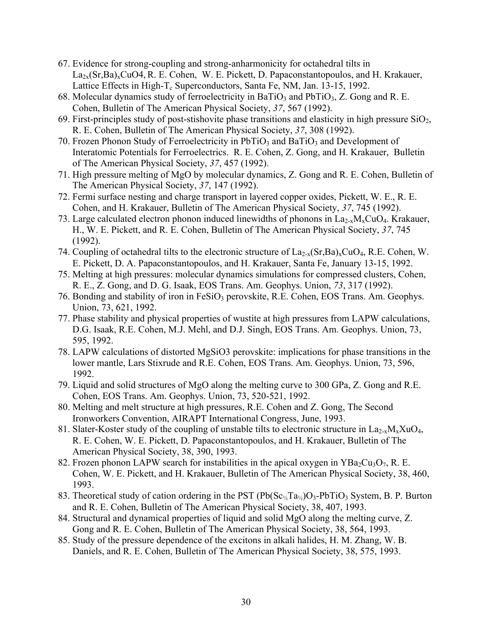- 67. Evidence for strong-coupling and strong-anharmonicity for octahedral tilts in  $La_{2x}(Sr,Ba)_xCuO4, R. E. Cohen, W. E. Pickett, D. Papaconstantopoulos, and H. Krakauer,$ Lattice Effects in High- $T_c$  Superconductors, Santa Fe, NM, Jan. 13-15, 1992.
- 68. Molecular dynamics study of ferroelectricity in BaTiO<sub>3</sub> and PbTiO<sub>3</sub>, Z. Gong and R. E. Cohen, Bulletin of The American Physical Society, *37*, 567 (1992).
- 69. First-principles study of post-stishovite phase transitions and elasticity in high pressure  $SiO<sub>2</sub>$ , R. E. Cohen, Bulletin of The American Physical Society, *37*, 308 (1992).
- 70. Frozen Phonon Study of Ferroelectricity in  $PbTiO<sub>3</sub>$  and BaTiO<sub>3</sub> and Development of Interatomic Potentials for Ferroelectrics. R. E. Cohen, Z. Gong, and H. Krakauer, Bulletin of The American Physical Society, *37*, 457 (1992).
- 71. High pressure melting of MgO by molecular dynamics, Z. Gong and R. E. Cohen, Bulletin of The American Physical Society, *37*, 147 (1992).
- 72. Fermi surface nesting and charge transport in layered copper oxides, Pickett, W. E., R. E. Cohen, and H. Krakauer, Bulletin of The American Physical Society, *37*, 745 (1992).
- 73. Large calculated electron phonon induced linewidths of phonons in  $La_{2-x}M_xCuO_4$ . Krakauer, H., W. E. Pickett, and R. E. Cohen, Bulletin of The American Physical Society, *37*, 745 (1992).
- 74. Coupling of octahedral tilts to the electronic structure of  $La_{2-x}(Sr,Ba)_xCuO_4$ , R.E. Cohen, W. E. Pickett, D. A. Papaconstantopoulos, and H. Krakauer, Santa Fe, January 13-15, 1992.
- 75. Melting at high pressures: molecular dynamics simulations for compressed clusters, Cohen, R. E., Z. Gong, and D. G. Isaak, EOS Trans. Am. Geophys. Union, *73*, 317 (1992).
- 76. Bonding and stability of iron in FeSiO<sub>3</sub> perovskite, R.E. Cohen, EOS Trans. Am. Geophys. Union, 73, 621, 1992.
- 77. Phase stability and physical properties of wustite at high pressures from LAPW calculations, D.G. Isaak, R.E. Cohen, M.J. Mehl, and D.J. Singh, EOS Trans. Am. Geophys. Union, 73, 595, 1992.
- 78. LAPW calculations of distorted MgSiO3 perovskite: implications for phase transitions in the lower mantle, Lars Stixrude and R.E. Cohen, EOS Trans. Am. Geophys. Union, 73, 596, 1992.
- 79. Liquid and solid structures of MgO along the melting curve to 300 GPa, Z. Gong and R.E. Cohen, EOS Trans. Am. Geophys. Union, 73, 520-521, 1992.
- 80. Melting and melt structure at high pressures, R.E. Cohen and Z. Gong, The Second Ironworkers Convention, AIRAPT International Congress, June, 1993.
- 81. Slater-Koster study of the coupling of unstable tilts to electronic structure in  $La_{2-x}M_xXuO_4$ , R. E. Cohen, W. E. Pickett, D. Papaconstantopoulos, and H. Krakauer, Bulletin of The American Physical Society, 38, 390, 1993.
- 82. Frozen phonon LAPW search for instabilities in the apical oxygen in  $YBa<sub>2</sub>Cu<sub>3</sub>O<sub>7</sub>$ , R. E. Cohen, W. E. Pickett, and H. Krakauer, Bulletin of The American Physical Society, 38, 460, 1993.
- 83. Theoretical study of cation ordering in the PST ( $Pb(Sc_{\frac{1}{2}}Ta_{\frac{1}{2}})O_3-PbTiO_3$  System, B. P. Burton and R. E. Cohen, Bulletin of The American Physical Society, 38, 407, 1993.
- 84. Structural and dynamical properties of liquid and solid MgO along the melting curve, Z. Gong and R. E. Cohen, Bulletin of The American Physical Society, 38, 564, 1993.
- 85. Study of the pressure dependence of the excitons in alkali halides, H. M. Zhang, W. B. Daniels, and R. E. Cohen, Bulletin of The American Physical Society, 38, 575, 1993.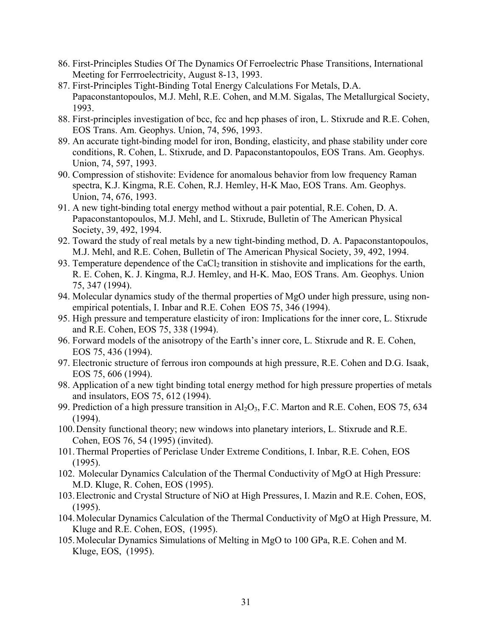- 86. First-Principles Studies Of The Dynamics Of Ferroelectric Phase Transitions, International Meeting for Ferrroelectricity, August 8-13, 1993.
- 87. First-Principles Tight-Binding Total Energy Calculations For Metals, D.A. Papaconstantopoulos, M.J. Mehl, R.E. Cohen, and M.M. Sigalas, The Metallurgical Society, 1993.
- 88. First-principles investigation of bcc, fcc and hcp phases of iron, L. Stixrude and R.E. Cohen, EOS Trans. Am. Geophys. Union, 74, 596, 1993.
- 89. An accurate tight-binding model for iron, Bonding, elasticity, and phase stability under core conditions, R. Cohen, L. Stixrude, and D. Papaconstantopoulos, EOS Trans. Am. Geophys. Union, 74, 597, 1993.
- 90. Compression of stishovite: Evidence for anomalous behavior from low frequency Raman spectra, K.J. Kingma, R.E. Cohen, R.J. Hemley, H-K Mao, EOS Trans. Am. Geophys. Union, 74, 676, 1993.
- 91. A new tight-binding total energy method without a pair potential, R.E. Cohen, D. A. Papaconstantopoulos, M.J. Mehl, and L. Stixrude, Bulletin of The American Physical Society, 39, 492, 1994.
- 92. Toward the study of real metals by a new tight-binding method, D. A. Papaconstantopoulos, M.J. Mehl, and R.E. Cohen, Bulletin of The American Physical Society, 39, 492, 1994.
- 93. Temperature dependence of the CaCl<sub>2</sub> transition in stishovite and implications for the earth, R. E. Cohen, K. J. Kingma, R.J. Hemley, and H-K. Mao, EOS Trans. Am. Geophys. Union 75, 347 (1994).
- 94. Molecular dynamics study of the thermal properties of MgO under high pressure, using nonempirical potentials, I. Inbar and R.E. Cohen EOS 75, 346 (1994).
- 95. High pressure and temperature elasticity of iron: Implications for the inner core, L. Stixrude and R.E. Cohen, EOS 75, 338 (1994).
- 96. Forward models of the anisotropy of the Earth's inner core, L. Stixrude and R. E. Cohen, EOS 75, 436 (1994).
- 97. Electronic structure of ferrous iron compounds at high pressure, R.E. Cohen and D.G. Isaak, EOS 75, 606 (1994).
- 98. Application of a new tight binding total energy method for high pressure properties of metals and insulators, EOS 75, 612 (1994).
- 99. Prediction of a high pressure transition in  $Al_2O_3$ , F.C. Marton and R.E. Cohen, EOS 75, 634 (1994).
- 100.Density functional theory; new windows into planetary interiors, L. Stixrude and R.E. Cohen, EOS 76, 54 (1995) (invited).
- 101.Thermal Properties of Periclase Under Extreme Conditions, I. Inbar, R.E. Cohen, EOS (1995).
- 102. Molecular Dynamics Calculation of the Thermal Conductivity of MgO at High Pressure: M.D. Kluge, R. Cohen, EOS (1995).
- 103.Electronic and Crystal Structure of NiO at High Pressures, I. Mazin and R.E. Cohen, EOS, (1995).
- 104.Molecular Dynamics Calculation of the Thermal Conductivity of MgO at High Pressure, M. Kluge and R.E. Cohen, EOS, (1995).
- 105.Molecular Dynamics Simulations of Melting in MgO to 100 GPa, R.E. Cohen and M. Kluge, EOS, (1995).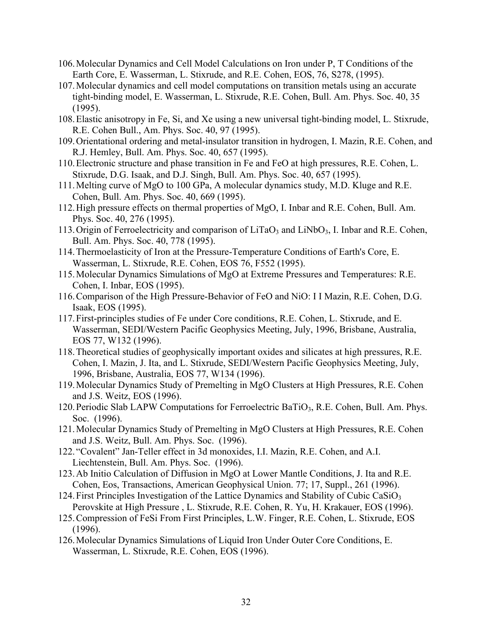- 106.Molecular Dynamics and Cell Model Calculations on Iron under P, T Conditions of the Earth Core, E. Wasserman, L. Stixrude, and R.E. Cohen, EOS, 76, S278, (1995).
- 107.Molecular dynamics and cell model computations on transition metals using an accurate tight-binding model, E. Wasserman, L. Stixrude, R.E. Cohen, Bull. Am. Phys. Soc. 40, 35 (1995).
- 108.Elastic anisotropy in Fe, Si, and Xe using a new universal tight-binding model, L. Stixrude, R.E. Cohen Bull., Am. Phys. Soc. 40, 97 (1995).
- 109.Orientational ordering and metal-insulator transition in hydrogen, I. Mazin, R.E. Cohen, and R.J. Hemley, Bull. Am. Phys. Soc. 40, 657 (1995).
- 110.Electronic structure and phase transition in Fe and FeO at high pressures, R.E. Cohen, L. Stixrude, D.G. Isaak, and D.J. Singh, Bull. Am. Phys. Soc. 40, 657 (1995).
- 111.Melting curve of MgO to 100 GPa, A molecular dynamics study, M.D. Kluge and R.E. Cohen, Bull. Am. Phys. Soc. 40, 669 (1995).
- 112.High pressure effects on thermal properties of MgO, I. Inbar and R.E. Cohen, Bull. Am. Phys. Soc. 40, 276 (1995).
- 113. Origin of Ferroelectricity and comparison of  $LiTaO_3$  and  $LiNbO_3$ , I. Inbar and R.E. Cohen, Bull. Am. Phys. Soc. 40, 778 (1995).
- 114.Thermoelasticity of Iron at the Pressure-Temperature Conditions of Earth's Core, E. Wasserman, L. Stixrude, R.E. Cohen, EOS 76, F552 (1995).
- 115.Molecular Dynamics Simulations of MgO at Extreme Pressures and Temperatures: R.E. Cohen, I. Inbar, EOS (1995).
- 116.Comparison of the High Pressure-Behavior of FeO and NiO: I I Mazin, R.E. Cohen, D.G. Isaak, EOS (1995).
- 117.First-principles studies of Fe under Core conditions, R.E. Cohen, L. Stixrude, and E. Wasserman, SEDI/Western Pacific Geophysics Meeting, July, 1996, Brisbane, Australia, EOS 77, W132 (1996).
- 118.Theoretical studies of geophysically important oxides and silicates at high pressures, R.E. Cohen, I. Mazin, J. Ita, and L. Stixrude, SEDI/Western Pacific Geophysics Meeting, July, 1996, Brisbane, Australia, EOS 77, W134 (1996).
- 119.Molecular Dynamics Study of Premelting in MgO Clusters at High Pressures, R.E. Cohen and J.S. Weitz, EOS (1996).
- 120.Periodic Slab LAPW Computations for Ferroelectric BaTiO3, R.E. Cohen, Bull. Am. Phys. Soc. (1996).
- 121.Molecular Dynamics Study of Premelting in MgO Clusters at High Pressures, R.E. Cohen and J.S. Weitz, Bull. Am. Phys. Soc. (1996).
- 122. "Covalent" Jan-Teller effect in 3d monoxides, I.I. Mazin, R.E. Cohen, and A.I. Liechtenstein, Bull. Am. Phys. Soc. (1996).
- 123.Ab Initio Calculation of Diffusion in MgO at Lower Mantle Conditions, J. Ita and R.E. Cohen, Eos, Transactions, American Geophysical Union. 77; 17, Suppl., 261 (1996).
- 124. First Principles Investigation of the Lattice Dynamics and Stability of Cubic  $CaSiO<sub>3</sub>$ Perovskite at High Pressure , L. Stixrude, R.E. Cohen, R. Yu, H. Krakauer, EOS (1996).
- 125.Compression of FeSi From First Principles, L.W. Finger, R.E. Cohen, L. Stixrude, EOS (1996).
- 126.Molecular Dynamics Simulations of Liquid Iron Under Outer Core Conditions, E. Wasserman, L. Stixrude, R.E. Cohen, EOS (1996).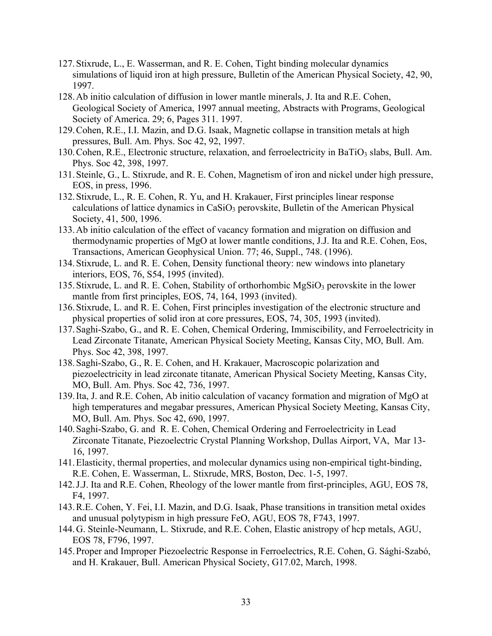- 127.Stixrude, L., E. Wasserman, and R. E. Cohen, Tight binding molecular dynamics simulations of liquid iron at high pressure, Bulletin of the American Physical Society, 42, 90, 1997.
- 128.Ab initio calculation of diffusion in lower mantle minerals, J. Ita and R.E. Cohen, Geological Society of America, 1997 annual meeting, Abstracts with Programs, Geological Society of America. 29; 6, Pages 311. 1997.
- 129.Cohen, R.E., I.I. Mazin, and D.G. Isaak, Magnetic collapse in transition metals at high pressures, Bull. Am. Phys. Soc 42, 92, 1997.
- 130. Cohen, R.E., Electronic structure, relaxation, and ferroelectricity in BaTiO<sub>3</sub> slabs, Bull. Am. Phys. Soc 42, 398, 1997.
- 131.Steinle, G., L. Stixrude, and R. E. Cohen, Magnetism of iron and nickel under high pressure, EOS, in press, 1996.
- 132.Stixrude, L., R. E. Cohen, R. Yu, and H. Krakauer, First principles linear response calculations of lattice dynamics in  $CaSiO<sub>3</sub>$  perovskite, Bulletin of the American Physical Society, 41, 500, 1996.
- 133.Ab initio calculation of the effect of vacancy formation and migration on diffusion and thermodynamic properties of MgO at lower mantle conditions, J.J. Ita and R.E. Cohen, Eos, Transactions, American Geophysical Union. 77; 46, Suppl., 748. (1996).
- 134.Stixrude, L. and R. E. Cohen, Density functional theory: new windows into planetary interiors, EOS, 76, S54, 1995 (invited).
- 135. Stixrude, L. and R. E. Cohen, Stability of orthorhombic  $MgSiO<sub>3</sub>$  perovskite in the lower mantle from first principles, EOS, 74, 164, 1993 (invited).
- 136.Stixrude, L. and R. E. Cohen, First principles investigation of the electronic structure and physical properties of solid iron at core pressures, EOS, 74, 305, 1993 (invited).
- 137.Saghi-Szabo, G., and R. E. Cohen, Chemical Ordering, Immiscibility, and Ferroelectricity in Lead Zirconate Titanate, American Physical Society Meeting, Kansas City, MO, Bull. Am. Phys. Soc 42, 398, 1997.
- 138.Saghi-Szabo, G., R. E. Cohen, and H. Krakauer, Macroscopic polarization and piezoelectricity in lead zirconate titanate, American Physical Society Meeting, Kansas City, MO, Bull. Am. Phys. Soc 42, 736, 1997.
- 139.Ita, J. and R.E. Cohen, Ab initio calculation of vacancy formation and migration of MgO at high temperatures and megabar pressures, American Physical Society Meeting, Kansas City, MO, Bull. Am. Phys. Soc 42, 690, 1997.
- 140.Saghi-Szabo, G. and R. E. Cohen, Chemical Ordering and Ferroelectricity in Lead Zirconate Titanate, Piezoelectric Crystal Planning Workshop, Dullas Airport, VA, Mar 13- 16, 1997.
- 141.Elasticity, thermal properties, and molecular dynamics using non-empirical tight-binding, R.E. Cohen, E. Wasserman, L. Stixrude, MRS, Boston, Dec. 1-5, 1997.
- 142.J.J. Ita and R.E. Cohen, Rheology of the lower mantle from first-principles, AGU, EOS 78, F4, 1997.
- 143.R.E. Cohen, Y. Fei, I.I. Mazin, and D.G. Isaak, Phase transitions in transition metal oxides and unusual polytypism in high pressure FeO, AGU, EOS 78, F743, 1997.
- 144.G. Steinle-Neumann, L. Stixrude, and R.E. Cohen, Elastic anistropy of hcp metals, AGU, EOS 78, F796, 1997.
- 145.Proper and Improper Piezoelectric Response in Ferroelectrics, R.E. Cohen, G. Sághi-Szabó, and H. Krakauer, Bull. American Physical Society, G17.02, March, 1998.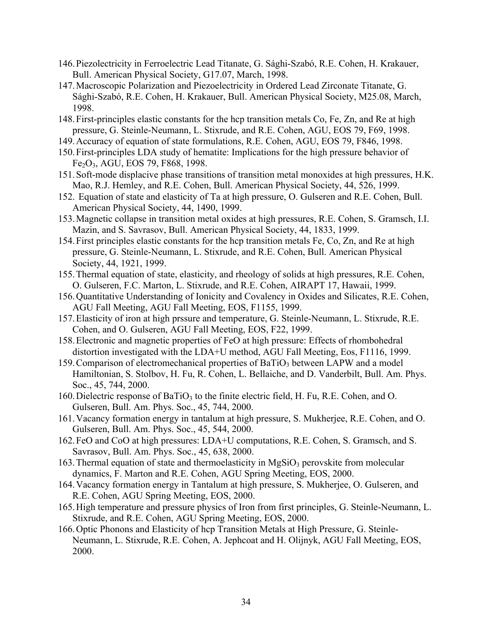- 146.Piezolectricity in Ferroelectric Lead Titanate, G. Sághi-Szabó, R.E. Cohen, H. Krakauer, Bull. American Physical Society, G17.07, March, 1998.
- 147.Macroscopic Polarization and Piezoelectricity in Ordered Lead Zirconate Titanate, G. Sághi-Szabó, R.E. Cohen, H. Krakauer, Bull. American Physical Society, M25.08, March, 1998.
- 148.First-principles elastic constants for the hcp transition metals Co, Fe, Zn, and Re at high pressure, G. Steinle-Neumann, L. Stixrude, and R.E. Cohen, AGU, EOS 79, F69, 1998.
- 149.Accuracy of equation of state formulations, R.E. Cohen, AGU, EOS 79, F846, 1998.
- 150.First-principles LDA study of hematite: Implications for the high pressure behavior of Fe2O3, AGU, EOS 79, F868, 1998.
- 151.Soft-mode displacive phase transitions of transition metal monoxides at high pressures, H.K. Mao, R.J. Hemley, and R.E. Cohen, Bull. American Physical Society, 44, 526, 1999.
- 152. Equation of state and elasticity of Ta at high pressure, O. Gulseren and R.E. Cohen, Bull. American Physical Society, 44, 1490, 1999.
- 153.Magnetic collapse in transition metal oxides at high pressures, R.E. Cohen, S. Gramsch, I.I. Mazin, and S. Savrasov, Bull. American Physical Society, 44, 1833, 1999.
- 154.First principles elastic constants for the hcp transition metals Fe, Co, Zn, and Re at high pressure, G. Steinle-Neumann, L. Stixrude, and R.E. Cohen, Bull. American Physical Society, 44, 1921, 1999.
- 155.Thermal equation of state, elasticity, and rheology of solids at high pressures, R.E. Cohen, O. Gulseren, F.C. Marton, L. Stixrude, and R.E. Cohen, AIRAPT 17, Hawaii, 1999.
- 156.Quantitative Understanding of Ionicity and Covalency in Oxides and Silicates, R.E. Cohen, AGU Fall Meeting, AGU Fall Meeting, EOS, F1155, 1999.
- 157.Elasticity of iron at high prssure and temperature, G. Steinle-Neumann, L. Stixrude, R.E. Cohen, and O. Gulseren, AGU Fall Meeting, EOS, F22, 1999.
- 158.Electronic and magnetic properties of FeO at high pressure: Effects of rhombohedral distortion investigated with the LDA+U method, AGU Fall Meeting, Eos, F1116, 1999.
- 159. Comparison of electromechanical properties of BaTiO<sub>3</sub> between LAPW and a model Hamiltonian, S. Stolbov, H. Fu, R. Cohen, L. Bellaiche, and D. Vanderbilt, Bull. Am. Phys. Soc., 45, 744, 2000.
- 160. Dielectric response of BaTiO<sub>3</sub> to the finite electric field, H. Fu, R.E. Cohen, and O. Gulseren, Bull. Am. Phys. Soc., 45, 744, 2000.
- 161.Vacancy formation energy in tantalum at high pressure, S. Mukherjee, R.E. Cohen, and O. Gulseren, Bull. Am. Phys. Soc., 45, 544, 2000.
- 162.FeO and CoO at high pressures: LDA+U computations, R.E. Cohen, S. Gramsch, and S. Savrasov, Bull. Am. Phys. Soc., 45, 638, 2000.
- 163. Thermal equation of state and thermoelasticity in  $MgSiO<sub>3</sub>$  perovskite from molecular dynamics, F. Marton and R.E. Cohen, AGU Spring Meeting, EOS, 2000.
- 164.Vacancy formation energy in Tantalum at high pressure, S. Mukherjee, O. Gulseren, and R.E. Cohen, AGU Spring Meeting, EOS, 2000.
- 165.High temperature and pressure physics of Iron from first principles, G. Steinle-Neumann, L. Stixrude, and R.E. Cohen, AGU Spring Meeting, EOS, 2000.
- 166.Optic Phonons and Elasticity of hcp Transition Metals at High Pressure, G. Steinle-Neumann, L. Stixrude, R.E. Cohen, A. Jephcoat and H. Olijnyk, AGU Fall Meeting, EOS, 2000.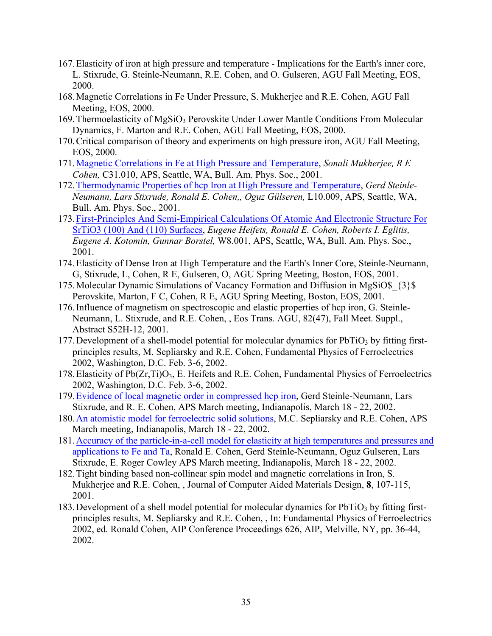- 167.Elasticity of iron at high pressure and temperature Implications for the Earth's inner core, L. Stixrude, G. Steinle-Neumann, R.E. Cohen, and O. Gulseren, AGU Fall Meeting, EOS, 2000.
- 168.Magnetic Correlations in Fe Under Pressure, S. Mukherjee and R.E. Cohen, AGU Fall Meeting, EOS, 2000.
- 169. Thermoelasticity of MgSiO<sub>3</sub> Perovskite Under Lower Mantle Conditions From Molecular Dynamics, F. Marton and R.E. Cohen, AGU Fall Meeting, EOS, 2000.
- 170.Critical comparison of theory and experiments on high pressure iron, AGU Fall Meeting, EOS, 2000.
- 171.Magnetic Correlations in Fe at High Pressure and Temperature, *Sonali Mukherjee, R E Cohen,* C31.010, APS, Seattle, WA, Bull. Am. Phys. Soc., 2001.
- 172.Thermodynamic Properties of hcp Iron at High Pressure and Temperature, *Gerd Steinle-Neumann, Lars Stixrude, Ronald E. Cohen,, Oguz Gülseren,* L10.009, APS, Seattle, WA, Bull. Am. Phys. Soc., 2001.
- 173.First-Principles And Semi-Empirical Calculations Of Atomic And Electronic Structure For SrTiO3 (100) And (110) Surfaces, *Eugene Heifets, Ronald E. Cohen, Roberts I. Eglitis, Eugene A. Kotomin, Gunnar Borstel,* W8.001, APS, Seattle, WA, Bull. Am. Phys. Soc., 2001.
- 174.Elasticity of Dense Iron at High Temperature and the Earth's Inner Core, Steinle-Neumann, G, Stixrude, L, Cohen, R E, Gulseren, O, AGU Spring Meeting, Boston, EOS, 2001.
- 175.Molecular Dynamic Simulations of Vacancy Formation and Diffusion in MgSiO\$\_{3}\$ Perovskite, Marton, F C, Cohen, R E, AGU Spring Meeting, Boston, EOS, 2001.
- 176.Influence of magnetism on spectroscopic and elastic properties of hcp iron, G. Steinle-Neumann, L. Stixrude, and R.E. Cohen, , Eos Trans. AGU, 82(47), Fall Meet. Suppl., Abstract S52H-12, 2001.
- 177. Development of a shell-model potential for molecular dynamics for  $PbTiO<sub>3</sub>$  by fitting firstprinciples results, M. Sepliarsky and R.E. Cohen, Fundamental Physics of Ferroelectrics 2002, Washington, D.C. Feb. 3-6, 2002.
- 178. Elasticity of  $Pb(Zr,Ti)O_3$ , E. Heifets and R.E. Cohen, Fundamental Physics of Ferroelectrics 2002, Washington, D.C. Feb. 3-6, 2002.
- 179.Evidence of local magnetic order in compressed hcp iron, Gerd Steinle-Neumann, Lars Stixrude, and R. E. Cohen, APS March meeting, Indianapolis, March 18 - 22, 2002.
- 180.An atomistic model for ferroelectric solid solutions, M.C. Sepliarsky and R.E. Cohen, APS March meeting, Indianapolis, March 18 - 22, 2002.
- 181.Accuracy of the particle-in-a-cell model for elasticity at high temperatures and pressures and applications to Fe and Ta, Ronald E. Cohen, Gerd Steinle*-*Neumann, Oguz Gulseren, Lars Stixrude, E. Roger Cowley APS March meeting, Indianapolis, March 18 - 22, 2002.
- 182.Tight binding based non-collinear spin model and magnetic correlations in Iron, S. Mukherjee and R.E. Cohen, , Journal of Computer Aided Materials Design, **8**, 107-115, 2001.
- 183. Development of a shell model potential for molecular dynamics for  $PbTiO<sub>3</sub>$  by fitting firstprinciples results, M. Sepliarsky and R.E. Cohen, , In: Fundamental Physics of Ferroelectrics 2002, ed. Ronald Cohen, AIP Conference Proceedings 626, AIP, Melville, NY, pp. 36-44, 2002.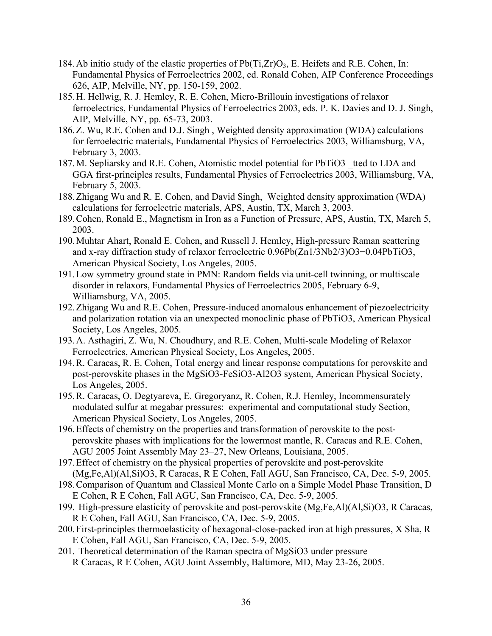- 184. Ab initio study of the elastic properties of  $Pb(Ti,Zr)O_3$ , E. Heifets and R.E. Cohen, In: Fundamental Physics of Ferroelectrics 2002, ed. Ronald Cohen, AIP Conference Proceedings 626, AIP, Melville, NY, pp. 150-159, 2002.
- 185.H. Hellwig, R. J. Hemley, R. E. Cohen, Micro-Brillouin investigations of relaxor ferroelectrics, Fundamental Physics of Ferroelectrics 2003, eds. P. K. Davies and D. J. Singh, AIP, Melville, NY, pp. 65-73, 2003.
- 186.Z. Wu, R.E. Cohen and D.J. Singh , Weighted density approximation (WDA) calculations for ferroelectric materials, Fundamental Physics of Ferroelectrics 2003, Williamsburg, VA, February 3, 2003.
- 187.M. Sepliarsky and R.E. Cohen, Atomistic model potential for PbTiO3 \_tted to LDA and GGA first-principles results, Fundamental Physics of Ferroelectrics 2003, Williamsburg, VA, February 5, 2003.
- 188.Zhigang Wu and R. E. Cohen, and David Singh, Weighted density approximation (WDA) calculations for ferroelectric materials, APS, Austin, TX, March 3, 2003.
- 189.Cohen, Ronald E., Magnetism in Iron as a Function of Pressure, APS, Austin, TX, March 5, 2003.
- 190.Muhtar Ahart, Ronald E. Cohen, and Russell J. Hemley, High-pressure Raman scattering and x-ray diffraction study of relaxor ferroelectric 0.96Pb(Zn1/3Nb2/3)O3−0.04PbTiO3, American Physical Society, Los Angeles, 2005.
- 191.Low symmetry ground state in PMN: Random fields via unit-cell twinning, or multiscale disorder in relaxors, Fundamental Physics of Ferroelectrics 2005, February 6-9, Williamsburg, VA, 2005.
- 192.Zhigang Wu and R.E. Cohen, Pressure-induced anomalous enhancement of piezoelectricity and polarization rotation via an unexpected monoclinic phase of PbTiO3, American Physical Society, Los Angeles, 2005.
- 193.A. Asthagiri, Z. Wu, N. Choudhury, and R.E. Cohen, Multi-scale Modeling of Relaxor Ferroelectrics, American Physical Society, Los Angeles, 2005.
- 194.R. Caracas, R. E. Cohen, Total energy and linear response computations for perovskite and post-perovskite phases in the MgSiO3-FeSiO3-Al2O3 system, American Physical Society, Los Angeles, 2005.
- 195.R. Caracas, O. Degtyareva, E. Gregoryanz, R. Cohen, R.J. Hemley, Incommensurately modulated sulfur at megabar pressures: experimental and computational study Section, American Physical Society, Los Angeles, 2005.
- 196.Effects of chemistry on the properties and transformation of perovskite to the postperovskite phases with implications for the lowermost mantle, R. Caracas and R.E. Cohen, AGU 2005 Joint Assembly May 23–27, New Orleans, Louisiana, 2005.
- 197.Effect of chemistry on the physical properties of perovskite and post-perovskite (Mg,Fe,Al)(Al,Si)O3, R Caracas, R E Cohen, Fall AGU, San Francisco, CA, Dec. 5-9, 2005.
- 198.Comparison of Quantum and Classical Monte Carlo on a Simple Model Phase Transition, D E Cohen, R E Cohen, Fall AGU, San Francisco, CA, Dec. 5-9, 2005.
- 199. High-pressure elasticity of perovskite and post-perovskite (Mg,Fe,Al)(Al,Si)O3, R Caracas, R E Cohen, Fall AGU, San Francisco, CA, Dec. 5-9, 2005.
- 200.First-principles thermoelasticity of hexagonal-close-packed iron at high pressures, X Sha, R E Cohen, Fall AGU, San Francisco, CA, Dec. 5-9, 2005.
- 201. Theoretical determination of the Raman spectra of MgSiO3 under pressure R Caracas, R E Cohen, AGU Joint Assembly, Baltimore, MD, May 23-26, 2005.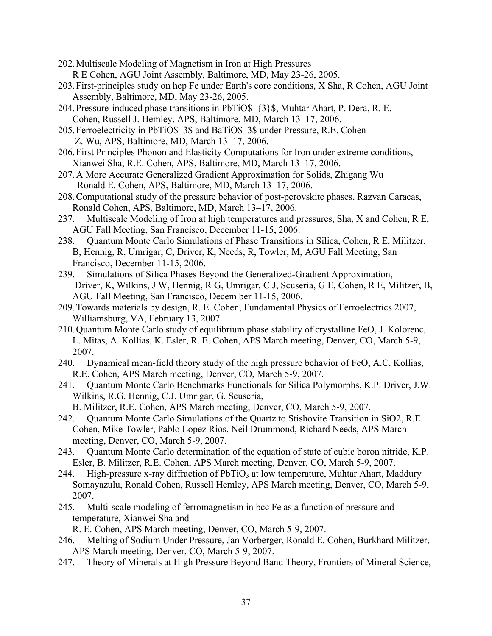- 202.Multiscale Modeling of Magnetism in Iron at High Pressures R E Cohen, AGU Joint Assembly, Baltimore, MD, May 23-26, 2005.
- 203.First-principles study on hcp Fe under Earth's core conditions, X Sha, R Cohen, AGU Joint Assembly, Baltimore, MD, May 23-26, 2005.
- 204.Pressure-induced phase transitions in PbTiO\$\_{3}\$, Muhtar Ahart, P. Dera, R. E. Cohen, Russell J. Hemley, APS, Baltimore, MD, March 13–17, 2006.
- 205.Ferroelectricity in PbTiO\$\_3\$ and BaTiO\$\_3\$ under Pressure, R.E. Cohen Z. Wu, APS, Baltimore, MD, March 13–17, 2006.
- 206.First Principles Phonon and Elasticity Computations for Iron under extreme conditions, Xianwei Sha, R.E. Cohen, APS, Baltimore, MD, March 13–17, 2006.
- 207.A More Accurate Generalized Gradient Approximation for Solids, Zhigang Wu Ronald E. Cohen, APS, Baltimore, MD, March 13–17, 2006.
- 208.Computational study of the pressure behavior of post-perovskite phases, Razvan Caracas, Ronald Cohen, APS, Baltimore, MD, March 13–17, 2006.
- 237. Multiscale Modeling of Iron at high temperatures and pressures, Sha, X and Cohen, R E, AGU Fall Meeting, San Francisco, December 11-15, 2006.
- 238. Quantum Monte Carlo Simulations of Phase Transitions in Silica, Cohen, R E, Militzer, B, Hennig, R, Umrigar, C, Driver, K, Needs, R, Towler, M, AGU Fall Meeting, San Francisco, December 11-15, 2006.
- 239. Simulations of Silica Phases Beyond the Generalized-Gradient Approximation, Driver, K, Wilkins, J W, Hennig, R G, Umrigar, C J, Scuseria, G E, Cohen, R E, Militzer, B, AGU Fall Meeting, San Francisco, Decem ber 11-15, 2006.
- 209.Towards materials by design, R. E. Cohen, Fundamental Physics of Ferroelectrics 2007, Williamsburg, VA, February 13, 2007.
- 210.Quantum Monte Carlo study of equilibrium phase stability of crystalline FeO, J. Kolorenc, L. Mitas, A. Kollias, K. Esler, R. E. Cohen, APS March meeting, Denver, CO, March 5-9, 2007.
- 240. Dynamical mean-field theory study of the high pressure behavior of FeO, A.C. Kollias, R.E. Cohen, APS March meeting, Denver, CO, March 5-9, 2007.
- 241. Quantum Monte Carlo Benchmarks Functionals for Silica Polymorphs, K.P. Driver, J.W. Wilkins, R.G. Hennig, C.J. Umrigar, G. Scuseria,
	- B. Militzer, R.E. Cohen, APS March meeting, Denver, CO, March 5-9, 2007.
- 242. Quantum Monte Carlo Simulations of the Quartz to Stishovite Transition in SiO2, R.E. Cohen, Mike Towler, Pablo Lopez Rios, Neil Drummond, Richard Needs, APS March meeting, Denver, CO, March 5-9, 2007.
- 243. Quantum Monte Carlo determination of the equation of state of cubic boron nitride, K.P. Esler, B. Militzer, R.E. Cohen, APS March meeting, Denver, CO, March 5-9, 2007.
- 244. High-pressure x-ray diffraction of  $PbTiO<sub>3</sub>$  at low temperature, Muhtar Ahart, Maddury Somayazulu, Ronald Cohen, Russell Hemley, APS March meeting, Denver, CO, March 5-9, 2007.
- 245. Multi-scale modeling of ferromagnetism in bcc Fe as a function of pressure and temperature, Xianwei Sha and

R. E. Cohen, APS March meeting, Denver, CO, March 5-9, 2007.

- 246. Melting of Sodium Under Pressure, Jan Vorberger, Ronald E. Cohen, Burkhard Militzer, APS March meeting, Denver, CO, March 5-9, 2007.
- 247. Theory of Minerals at High Pressure Beyond Band Theory, Frontiers of Mineral Science,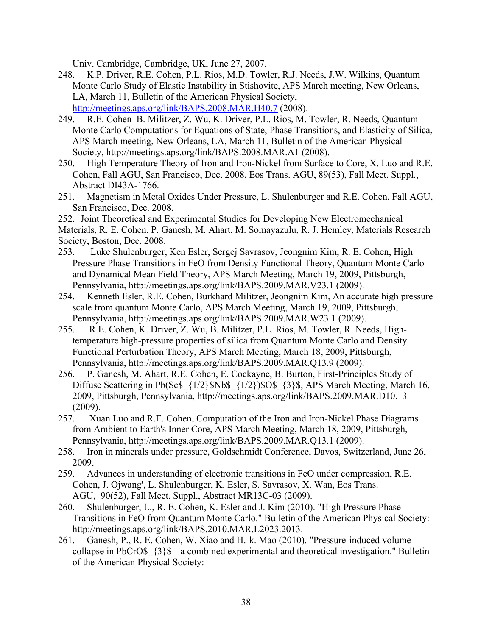Univ. Cambridge, Cambridge, UK, June 27, 2007.

- 248. K.P. Driver, R.E. Cohen, P.L. Rios, M.D. Towler, R.J. Needs, J.W. Wilkins, Quantum Monte Carlo Study of Elastic Instability in Stishovite, APS March meeting, New Orleans, LA, March 11, Bulletin of the American Physical Society, http://meetings.aps.org/link/BAPS.2008.MAR.H40.7 (2008).
- 249. R.E. Cohen B. Militzer, Z. Wu, K. Driver, P.L. Rios, M. Towler, R. Needs, Quantum Monte Carlo Computations for Equations of State, Phase Transitions, and Elasticity of Silica, APS March meeting, New Orleans, LA, March 11, Bulletin of the American Physical Society, http://meetings.aps.org/link/BAPS.2008.MAR.A1 (2008).
- 250. High Temperature Theory of Iron and Iron-Nickel from Surface to Core, X. Luo and R.E. Cohen, Fall AGU, San Francisco, Dec. 2008, Eos Trans. AGU, 89(53), Fall Meet. Suppl., Abstract DI43A-1766.
- 251. Magnetism in Metal Oxides Under Pressure, L. Shulenburger and R.E. Cohen, Fall AGU, San Francisco, Dec. 2008.

252. Joint Theoretical and Experimental Studies for Developing New Electromechanical Materials, R. E. Cohen, P. Ganesh, M. Ahart, M. Somayazulu, R. J. Hemley, Materials Research Society, Boston, Dec. 2008.

- 253. Luke Shulenburger, Ken Esler, Sergej Savrasov, Jeongnim Kim, R. E. Cohen, High Pressure Phase Transitions in FeO from Density Functional Theory, Quantum Monte Carlo and Dynamical Mean Field Theory, APS March Meeting, March 19, 2009, Pittsburgh, Pennsylvania, http://meetings.aps.org/link/BAPS.2009.MAR.V23.1 (2009).
- 254. Kenneth Esler, R.E. Cohen, Burkhard Militzer, Jeongnim Kim, An accurate high pressure scale from quantum Monte Carlo, APS March Meeting, March 19, 2009, Pittsburgh, Pennsylvania, http://meetings.aps.org/link/BAPS.2009.MAR.W23.1 (2009).
- 255. R.E. Cohen, K. Driver, Z. Wu, B. Militzer, P.L. Rios, M. Towler, R. Needs, Hightemperature high-pressure properties of silica from Quantum Monte Carlo and Density Functional Perturbation Theory, APS March Meeting, March 18, 2009, Pittsburgh, Pennsylvania, http://meetings.aps.org/link/BAPS.2009.MAR.Q13.9 (2009).
- 256. P. Ganesh, M. Ahart, R.E. Cohen, E. Cockayne, B. Burton, First-Principles Study of Diffuse Scattering in Pb(Sc\$  $\{1/2\}$ \$Nb\$  $\{1/2\}$ )\$O\$  $\{3\}$ \$, APS March Meeting, March 16, 2009, Pittsburgh, Pennsylvania, http://meetings.aps.org/link/BAPS.2009.MAR.D10.13 (2009).
- 257. Xuan Luo and R.E. Cohen, Computation of the Iron and Iron-Nickel Phase Diagrams from Ambient to Earth's Inner Core, APS March Meeting, March 18, 2009, Pittsburgh, Pennsylvania, http://meetings.aps.org/link/BAPS.2009.MAR.Q13.1 (2009).
- 258. Iron in minerals under pressure, Goldschmidt Conference, Davos, Switzerland, June 26, 2009.
- 259. Advances in understanding of electronic transitions in FeO under compression, R.E. Cohen, J. Ojwang', L. Shulenburger, K. Esler, S. Savrasov, X. Wan, Eos Trans. AGU, 90(52), Fall Meet. Suppl., Abstract MR13C-03 (2009).
- 260. Shulenburger, L., R. E. Cohen, K. Esler and J. Kim (2010). "High Pressure Phase Transitions in FeO from Quantum Monte Carlo." Bulletin of the American Physical Society: http://meetings.aps.org/link/BAPS.2010.MAR.L2023.2013.
- 261. Ganesh, P., R. E. Cohen, W. Xiao and H.-k. Mao (2010). "Pressure-induced volume collapse in PbCrO\$\_{3}\$-- a combined experimental and theoretical investigation." Bulletin of the American Physical Society: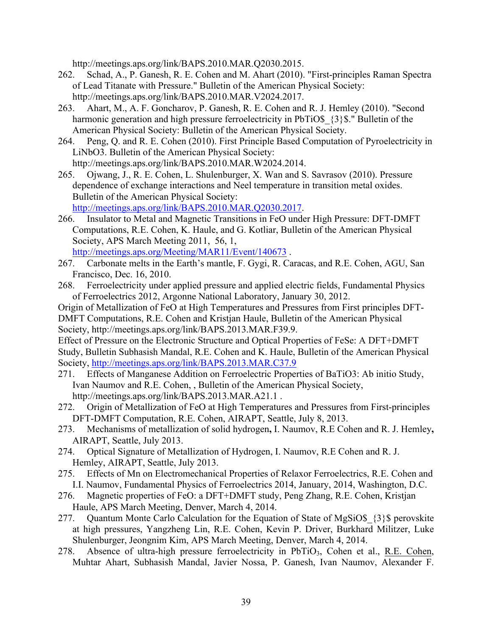http://meetings.aps.org/link/BAPS.2010.MAR.Q2030.2015.

- 262. Schad, A., P. Ganesh, R. E. Cohen and M. Ahart (2010). "First-principles Raman Spectra of Lead Titanate with Pressure." Bulletin of the American Physical Society: http://meetings.aps.org/link/BAPS.2010.MAR.V2024.2017.
- 263. Ahart, M., A. F. Goncharov, P. Ganesh, R. E. Cohen and R. J. Hemley (2010). "Second harmonic generation and high pressure ferroelectricity in PbTiO\$  $\{3\}$ \$." Bulletin of the American Physical Society: Bulletin of the American Physical Society.
- 264. Peng, Q. and R. E. Cohen (2010). First Principle Based Computation of Pyroelectricity in LiNbO3. Bulletin of the American Physical Society: http://meetings.aps.org/link/BAPS.2010.MAR.W2024.2014.
- 265. Ojwang, J., R. E. Cohen, L. Shulenburger, X. Wan and S. Savrasov (2010). Pressure dependence of exchange interactions and Neel temperature in transition metal oxides. Bulletin of the American Physical Society: http://meetings.aps.org/link/BAPS.2010.MAR.Q2030.2017.
- 266. Insulator to Metal and Magnetic Transitions in FeO under High Pressure: DFT-DMFT Computations, R.E. Cohen, K. Haule, and G. Kotliar, Bulletin of the American Physical Society, APS March Meeting 2011, 56, 1, http://meetings.aps.org/Meeting/MAR11/Event/140673 .
- 267. Carbonate melts in the Earth's mantle, F. Gygi, R. Caracas, and R.E. Cohen, AGU, San Francisco, Dec. 16, 2010.
- 268. Ferroelectricity under applied pressure and applied electric fields, Fundamental Physics of Ferroelectrics 2012, Argonne National Laboratory, January 30, 2012.

Origin of Metallization of FeO at High Temperatures and Pressures from First principles DFT-DMFT Computations, R.E. Cohen and Kristjan Haule, Bulletin of the American Physical Society, http://meetings.aps.org/link/BAPS.2013.MAR.F39.9.

Effect of Pressure on the Electronic Structure and Optical Properties of FeSe: A DFT+DMFT Study, Bulletin Subhasish Mandal, R.E. Cohen and K. Haule, Bulletin of the American Physical Society, http://meetings.aps.org/link/BAPS.2013.MAR.C37.9

- 271. Effects of Manganese Addition on Ferroelectric Properties of BaTiO3: Ab initio Study, Ivan Naumov and R.E. Cohen, , Bulletin of the American Physical Society, http://meetings.aps.org/link/BAPS.2013.MAR.A21.1 .
- 272. Origin of Metallization of FeO at High Temperatures and Pressures from First-principles DFT-DMFT Computation, R.E. Cohen, AIRAPT, Seattle, July 8, 2013.
- 273. Mechanisms of metallization of solid hydrogen**,** I. Naumov, R.E Cohen and R. J. Hemley**,** AIRAPT, Seattle, July 2013.
- 274. Optical Signature of Metallization of Hydrogen, I. Naumov, R.E Cohen and R. J. Hemley, AIRAPT, Seattle, July 2013.
- 275. Effects of Mn on Electromechanical Properties of Relaxor Ferroelectrics, R.E. Cohen and I.I. Naumov, Fundamental Physics of Ferroelectrics 2014, January, 2014, Washington, D.C.
- 276. Magnetic properties of FeO: a DFT+DMFT study, Peng Zhang, R.E. Cohen, Kristjan Haule, APS March Meeting, Denver, March 4, 2014.
- 277. Quantum Monte Carlo Calculation for the Equation of State of MgSiO\$ {3}\$ perovskite at high pressures, Yangzheng Lin, R.E. Cohen, Kevin P. Driver, Burkhard Militzer, Luke Shulenburger, Jeongnim Kim, APS March Meeting, Denver, March 4, 2014.
- 278. Absence of ultra-high pressure ferroelectricity in PbTiO3, Cohen et al., R.E. Cohen, Muhtar Ahart, Subhasish Mandal, Javier Nossa, P. Ganesh, Ivan Naumov, Alexander F.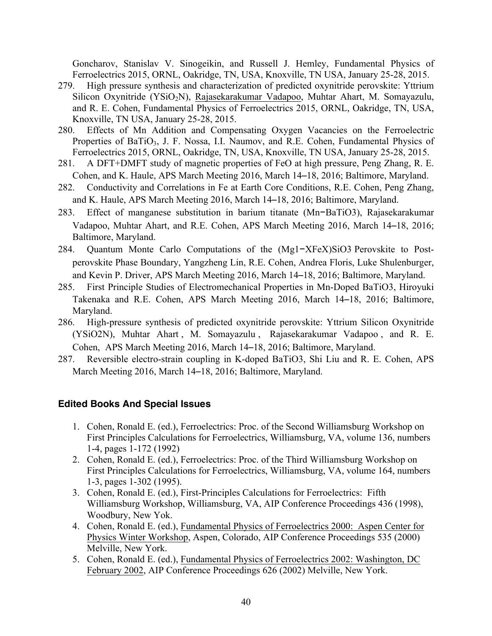Goncharov, Stanislav V. Sinogeikin, and Russell J. Hemley, Fundamental Physics of Ferroelectrics 2015, ORNL, Oakridge, TN, USA, Knoxville, TN USA, January 25-28, 2015.

- 279. High pressure synthesis and characterization of predicted oxynitride perovskite: Yttrium Silicon Oxynitride (YSiO2N), Rajasekarakumar Vadapoo, Muhtar Ahart, M. Somayazulu, and R. E. Cohen, Fundamental Physics of Ferroelectrics 2015, ORNL, Oakridge, TN, USA, Knoxville, TN USA, January 25-28, 2015.
- 280. Effects of Mn Addition and Compensating Oxygen Vacancies on the Ferroelectric Properties of BaTiO<sub>3</sub>, J. F. Nossa, I.I. Naumov, and R.E. Cohen, Fundamental Physics of Ferroelectrics 2015, ORNL, Oakridge, TN, USA, Knoxville, TN USA, January 25-28, 2015.
- 281. A DFT+DMFT study of magnetic properties of FeO at high pressure, Peng Zhang, R. E. Cohen, and K. Haule, APS March Meeting 2016, March 14–18, 2016; Baltimore, Maryland.
- 282. Conductivity and Correlations in Fe at Earth Core Conditions, R.E. Cohen, Peng Zhang, and K. Haule, APS March Meeting 2016, March 14–18, 2016; Baltimore, Maryland.
- 283. Effect of manganese substitution in barium titanate (Mn−BaTiO3), Rajasekarakumar Vadapoo, Muhtar Ahart, and R.E. Cohen, APS March Meeting 2016, March 14–18, 2016; Baltimore, Maryland.
- 284. Quantum Monte Carlo Computations of the (Mg1−XFeX)SiO3 Perovskite to Postperovskite Phase Boundary, Yangzheng Lin, R.E. Cohen, Andrea Floris, Luke Shulenburger, and Kevin P. Driver, APS March Meeting 2016, March 14–18, 2016; Baltimore, Maryland.
- 285. First Principle Studies of Electromechanical Properties in Mn-Doped BaTiO3, Hiroyuki Takenaka and R.E. Cohen, APS March Meeting 2016, March 14–18, 2016; Baltimore, Maryland.
- 286. High-pressure synthesis of predicted oxynitride perovskite: Yttrium Silicon Oxynitride (YSiO2N), Muhtar Ahart , M. Somayazulu , Rajasekarakumar Vadapoo , and R. E. Cohen, APS March Meeting 2016, March 14–18, 2016; Baltimore, Maryland.
- 287. Reversible electro-strain coupling in K-doped BaTiO3, Shi Liu and R. E. Cohen, APS March Meeting 2016, March 14–18, 2016; Baltimore, Maryland.

### **Edited Books And Special Issues**

- 1. Cohen, Ronald E. (ed.), Ferroelectrics: Proc. of the Second Williamsburg Workshop on First Principles Calculations for Ferroelectrics, Williamsburg, VA, volume 136, numbers 1-4, pages 1-172 (1992)
- 2. Cohen, Ronald E. (ed.), Ferroelectrics: Proc. of the Third Williamsburg Workshop on First Principles Calculations for Ferroelectrics, Williamsburg, VA, volume 164, numbers 1-3, pages 1-302 (1995).
- 3. Cohen, Ronald E. (ed.), First-Principles Calculations for Ferroelectrics: Fifth Williamsburg Workshop, Williamsburg, VA, AIP Conference Proceedings 436 (1998), Woodbury, New Yok.
- 4. Cohen, Ronald E. (ed.), Fundamental Physics of Ferroelectrics 2000: Aspen Center for Physics Winter Workshop, Aspen, Colorado, AIP Conference Proceedings 535 (2000) Melville, New York.
- 5. Cohen, Ronald E. (ed.), Fundamental Physics of Ferroelectrics 2002: Washington, DC February 2002, AIP Conference Proceedings 626 (2002) Melville, New York.